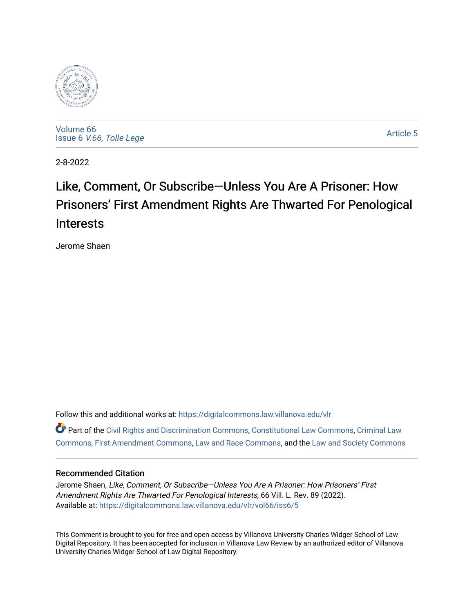

[Volume 66](https://digitalcommons.law.villanova.edu/vlr/vol66) Issue 6 [V.66, Tolle Lege](https://digitalcommons.law.villanova.edu/vlr/vol66/iss6) 

[Article 5](https://digitalcommons.law.villanova.edu/vlr/vol66/iss6/5) 

2-8-2022

# Like, Comment, Or Subscribe—Unless You Are A Prisoner: How Prisoners' First Amendment Rights Are Thwarted For Penological Interests

Jerome Shaen

Follow this and additional works at: [https://digitalcommons.law.villanova.edu/vlr](https://digitalcommons.law.villanova.edu/vlr?utm_source=digitalcommons.law.villanova.edu%2Fvlr%2Fvol66%2Fiss6%2F5&utm_medium=PDF&utm_campaign=PDFCoverPages) Part of the [Civil Rights and Discrimination Commons,](http://network.bepress.com/hgg/discipline/585?utm_source=digitalcommons.law.villanova.edu%2Fvlr%2Fvol66%2Fiss6%2F5&utm_medium=PDF&utm_campaign=PDFCoverPages) [Constitutional Law Commons,](http://network.bepress.com/hgg/discipline/589?utm_source=digitalcommons.law.villanova.edu%2Fvlr%2Fvol66%2Fiss6%2F5&utm_medium=PDF&utm_campaign=PDFCoverPages) [Criminal Law](http://network.bepress.com/hgg/discipline/912?utm_source=digitalcommons.law.villanova.edu%2Fvlr%2Fvol66%2Fiss6%2F5&utm_medium=PDF&utm_campaign=PDFCoverPages)  [Commons](http://network.bepress.com/hgg/discipline/912?utm_source=digitalcommons.law.villanova.edu%2Fvlr%2Fvol66%2Fiss6%2F5&utm_medium=PDF&utm_campaign=PDFCoverPages), [First Amendment Commons,](http://network.bepress.com/hgg/discipline/1115?utm_source=digitalcommons.law.villanova.edu%2Fvlr%2Fvol66%2Fiss6%2F5&utm_medium=PDF&utm_campaign=PDFCoverPages) [Law and Race Commons](http://network.bepress.com/hgg/discipline/1300?utm_source=digitalcommons.law.villanova.edu%2Fvlr%2Fvol66%2Fiss6%2F5&utm_medium=PDF&utm_campaign=PDFCoverPages), and the [Law and Society Commons](http://network.bepress.com/hgg/discipline/853?utm_source=digitalcommons.law.villanova.edu%2Fvlr%2Fvol66%2Fiss6%2F5&utm_medium=PDF&utm_campaign=PDFCoverPages)

## Recommended Citation

Jerome Shaen, Like, Comment, Or Subscribe—Unless You Are A Prisoner: How Prisoners' First Amendment Rights Are Thwarted For Penological Interests, 66 Vill. L. Rev. 89 (2022). Available at: [https://digitalcommons.law.villanova.edu/vlr/vol66/iss6/5](https://digitalcommons.law.villanova.edu/vlr/vol66/iss6/5?utm_source=digitalcommons.law.villanova.edu%2Fvlr%2Fvol66%2Fiss6%2F5&utm_medium=PDF&utm_campaign=PDFCoverPages) 

This Comment is brought to you for free and open access by Villanova University Charles Widger School of Law Digital Repository. It has been accepted for inclusion in Villanova Law Review by an authorized editor of Villanova University Charles Widger School of Law Digital Repository.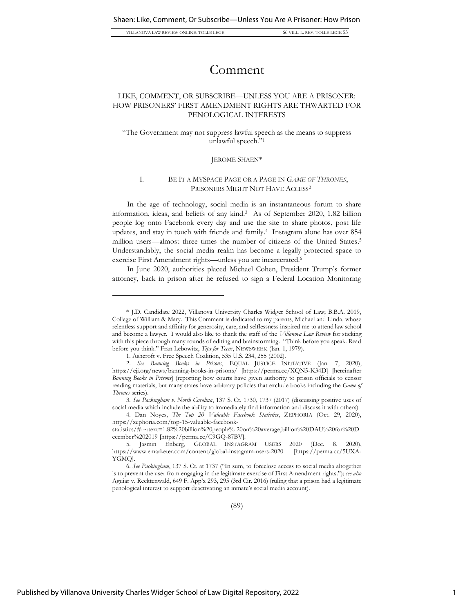# Comment

## LIKE, COMMENT, OR SUBSCRIBE—UNLESS YOU ARE A PRISONER: HOW PRISONERS' FIRST AMENDMENT RIGHTS ARE THWARTED FOR PENOLOGICAL INTERESTS

"The Government may not suppress lawful speech as the means to suppress unlawful speech."<sup>1</sup>

#### JEROME SHAEN\*

#### I. BE IT A MYSPACE PAGE OR A PAGE IN *GAME OF THRONES*, PRISONERS MIGHT NOT HAVE ACCESS<sup>2</sup>

In the age of technology, social media is an instantaneous forum to share information, ideas, and beliefs of any kind.<sup>3</sup> As of September 2020, 1.82 billion people log onto Facebook every day and use the site to share photos, post life updates, and stay in touch with friends and family.<sup>4</sup> Instagram alone has over 854 million users—almost three times the number of citizens of the United States. 5 Understandably, the social media realm has become a legally protected space to exercise First Amendment rights—unless you are incarcerated.<sup>6</sup>

In June 2020, authorities placed Michael Cohen, President Trump's former attorney, back in prison after he refused to sign a Federal Location Monitoring

4. Dan Noyes, *The Top 20 Valuable Facebook Statistics*, ZEPHORIA (Oct. 29, 2020), https://zephoria.com/top-15-valuable-facebook-

<sup>\*</sup> J.D. Candidate 2022, Villanova University Charles Widger School of Law; B.B.A. 2019, College of William & Mary. This Comment is dedicated to my parents, Michael and Linda, whose relentless support and affinity for generosity, care, and selflessness inspired me to attend law school and become a lawyer. I would also like to thank the staff of the *Villanova Law Review* for sticking with this piece through many rounds of editing and brainstorming. "Think before you speak. Read before you think." Fran Lebowitz, *Tips for Teens*, NEWSWEEK (Jan. 1, 1979).

<sup>1.</sup> Ashcroft v. Free Speech Coalition, 535 U.S. 234, 255 (2002).

<sup>2.</sup> *See Banning Books in Prisons*, EQUAL JUSTICE INITIATIVE (Jan. 7, 2020), https://eji.org/news/banning-books-in-prisons/ [https://perma.cc/XQN5-K34D] [hereinafter *Banning Books in Prisons*] (reporting how courts have given authority to prison officials to censor reading materials, but many states have arbitrary policies that exclude books including the *Game of Thrones* series).

<sup>3.</sup> *See Packingham v. North Carolina*, 137 S. Ct. 1730, 1737 (2017) (discussing positive uses of social media which include the ability to immediately find information and discuss it with others).

statistics/#:~:text=1.82%20billion%20people% 20on%20average,billion%20DAU%20for%20D ecember%202019 [https://perma.cc/C9GQ-87BV].

<sup>5.</sup> Jasmin Enberg, GLOBAL INSTAGRAM USERS 2020 (Dec. 8, 2020), https://www.emarketer.com/content/global-instagram-users-2020 [https://perma.cc/5UXA-YGMQ].

<sup>6.</sup> *See Packingham*, 137 S. Ct. at 1737 ("In sum, to foreclose access to social media altogether is to prevent the user from engaging in the legitimate exercise of First Amendment rights."); *see also* Aguiar v. Recktenwald, 649 F. App'x 293, 295 (3rd Cir. 2016) (ruling that a prison had a legitimate penological interest to support deactivating an inmate's social media account).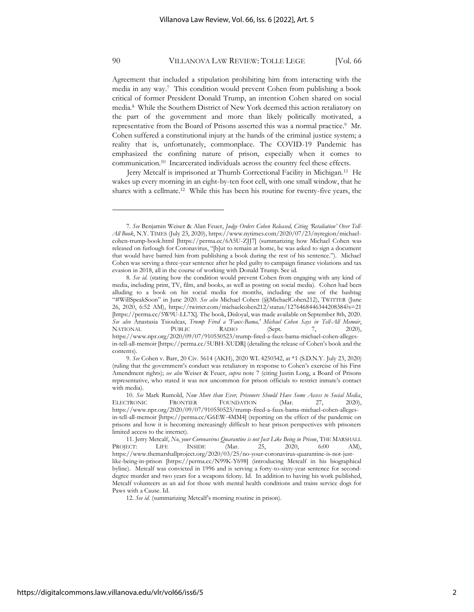Agreement that included a stipulation prohibiting him from interacting with the media in any way.<sup>7</sup> This condition would prevent Cohen from publishing a book critical of former President Donald Trump, an intention Cohen shared on social media.<sup>8</sup> While the Southern District of New York deemed this action retaliatory on the part of the government and more than likely politically motivated, a representative from the Board of Prisons asserted this was a normal practice.<sup>9</sup> Mr. Cohen suffered a constitutional injury at the hands of the criminal justice system; a reality that is, unfortunately, commonplace. The COVID-19 Pandemic has emphasized the confining nature of prison, especially when it comes to communication.<sup>10</sup> Incarcerated individuals across the country feel these effects.

Jerry Metcalf is imprisoned at Thumb Correctional Facility in Michigan.<sup>11</sup> He wakes up every morning in an eight-by-ten foot cell, with one small window, that he shares with a cellmate.<sup>12</sup> While this has been his routine for twenty-five years, the

<sup>7.</sup> *See* Benjamin Weiser & Alan Feuer, *Judge Orders Cohen Released, Citing 'Retaliation' Over Tell-All Book*, N.Y. TIMES (July 23, 2020), https://www.nytimes.com/2020/07/23/nyregion/michaelcohen-trump-book.html [https://perma.cc/6A5U-ZJJ7] (summarizing how Michael Cohen was released on furlough for Coronavirus, "[b]ut to remain at home, he was asked to sign a document that would have barred him from publishing a book during the rest of his sentence."). Michael Cohen was serving a three-year sentence after he pled guilty to campaign finance violations and tax evasion in 2018, all in the course of working with Donald Trump. See id.

<sup>8.</sup> *See id.* (stating how the condition would prevent Cohen from engaging with any kind of media, including print, TV, film, and books, as well as posting on social media). Cohen had been alluding to a book on his social media for months, including the use of the hashtag "#WillSpeakSoon" in June 2020. *See also* Michael Cohen (@MichaelCohen212), TWITTER (June 26, 2020, 6:52 AM), https://twitter.com/michaelcohen212/status/1276468446344208384?s=21 [https://perma.cc/5W9U-LL7X]. The book, Disloyal, was made available on September 8th, 2020. *See also* Anastasia Tsioulcas, *Trump Fired a 'Faux-Bama,' Michael Cohen Says in Tell-All Memoir*, NATIONAL PUBLIC RADIO (Sept. 7, 2020), https://www.npr.org/2020/09/07/910550523/trump-fired-a-faux-bama-michael-cohen-allegesin-tell-all-memoir [https://perma.cc/5UBH-XUDR] (detailing the release of Cohen's book and the contents).

<sup>9.</sup> *See* Cohen v. Barr, 20 Civ. 5614 (AKH), 2020 WL 4250342, at \*1 (S.D.N.Y. July 23, 2020) (ruling that the government's conduct was retaliatory in response to Cohen's exercise of his First Amendment rights); *see also* Weiser & Feuer, *supra* note 7 (citing Justin Long, a Board of Prisons representative, who stated it was not uncommon for prison officials to restrict inmate's contact with media).

<sup>10.</sup> *See* Mark Rumold, *Now More than Ever, Prisoners Should Have Some Access to Social Media*, ELECTRONIC FRONTIER FOUNDATION (Mar. 27, 2020), https://www.npr.org/2020/09/07/910550523/trump-fired-a-faux-bama-michael-cohen-allegesin-tell-all-memoir [https://perma.cc/G6EW-4MM4] (reporting on the effect of the pandemic on prisons and how it is becoming increasingly difficult to hear prison perspectives with prisoners limited access to the internet).

<sup>11.</sup> Jerry Metcalf, *No, your Coronavirus Quarantine is not Just Like Being in Prison*, THE MARSHALL PROJECT: LIFE INSIDE (Mar. 25, 2020, 6:00 AM), https://www.themarshallproject.org/2020/03/25/no-your-coronavirus-quarantine-is-not-justlike-being-in-prison [https://perma.cc/N99K-Y698] (introducing Metcalf in his biographical byline). Metcalf was convicted in 1996 and is serving a forty-to-sixty-year sentence for seconddegree murder and two years for a weapons felony. Id. In addition to having his work published, Metcalf volunteers as an aid for those with mental health conditions and trains service dogs for Paws with a Cause. Id.

<sup>12.</sup> *See id.* (summarizing Metcalf's morning routine in prison).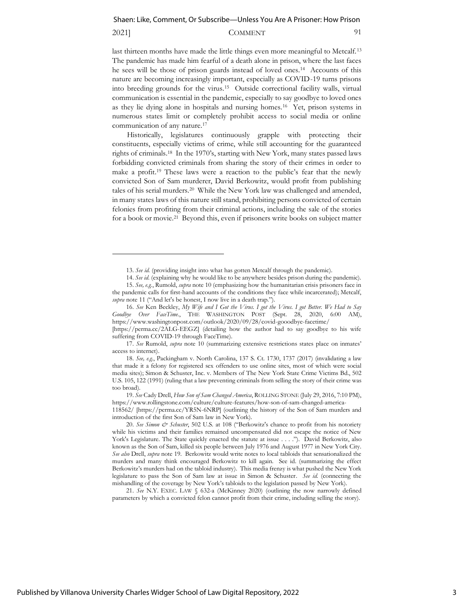#### 2021] COMMENT 91

last thirteen months have made the little things even more meaningful to Metcalf.<sup>13</sup> The pandemic has made him fearful of a death alone in prison, where the last faces he sees will be those of prison guards instead of loved ones.<sup>14</sup> Accounts of this nature are becoming increasingly important, especially as COVID-19 turns prisons into breeding grounds for the virus.<sup>15</sup> Outside correctional facility walls, virtual communication is essential in the pandemic, especially to say goodbye to loved ones as they lie dying alone in hospitals and nursing homes.<sup>16</sup> Yet, prison systems in numerous states limit or completely prohibit access to social media or online communication of any nature.<sup>17</sup>

Historically, legislatures continuously grapple with protecting their constituents, especially victims of crime, while still accounting for the guaranteed rights of criminals.<sup>18</sup> In the 1970's, starting with New York, many states passed laws forbidding convicted criminals from sharing the story of their crimes in order to make a profit.<sup>19</sup> These laws were a reaction to the public's fear that the newly convicted Son of Sam murderer, David Berkowitz, would profit from publishing tales of his serial murders.<sup>20</sup> While the New York law was challenged and amended, in many states laws of this nature still stand, prohibiting persons convicted of certain felonies from profiting from their criminal actions, including the sale of the stories for a book or movie.<sup>21</sup> Beyond this, even if prisoners write books on subject matter

21. *See* N.Y. EXEC. LAW § 632-a (McKinney 2020) (outlining the now narrowly defined parameters by which a convicted felon cannot profit from their crime, including selling the story).

<sup>13.</sup> *See id.* (providing insight into what has gotten Metcalf through the pandemic).

<sup>14.</sup> *See id.* (explaining why he would like to be anywhere besides prison during the pandemic).

<sup>15.</sup> *See, e.g.*, Rumold, *supra* note 10 (emphasizing how the humanitarian crisis prisoners face in the pandemic calls for first-hand accounts of the conditions they face while incarcerated); Metcalf, *supra* note 11 ("And let's be honest, I now live in a death trap.").

<sup>16.</sup> *See* Ken Beckley, *My Wife and I Got the Virus. I got the Virus. I got Better. We Had to Say Goodbye Over FaceTime.*, THE WASHINGTON POST (Sept. 28, 2020, 6:00 AM), <https://www.washingtonpost.com/outlook/2020/09/28/covid-gooodbye-facetime/>

<sup>[</sup>https://perma.cc/2ALG-EEGZ] (detailing how the author had to say goodbye to his wife suffering from COVID-19 through FaceTime).

<sup>17.</sup> *See* Rumold, *supra* note 10 (summarizing extensive restrictions states place on inmates' access to internet).

<sup>18.</sup> *See, e.g.*, Packingham v. North Carolina, 137 S. Ct. 1730, 1737 (2017) (invalidating a law that made it a felony for registered sex offenders to use online sites, most of which were social media sites); Simon & Schuster, Inc. v. Members of The New York State Crime Victims Bd., 502 U.S. 105, 122 (1991) (ruling that a law preventing criminals from selling the story of their crime was too broad).

<sup>19.</sup> *See* Cady Drell, *How Son of Sam Changed America*, ROLLING STONE (July 29, 2016, 7:10 PM), [https://www.rollingstone.com/culture/culture-features/how-son-of-sam-changed-america-](https://www.rollingstone.com/culture/culture-features/how-son-of-sam-changed-america-118562/)

[<sup>118562/</sup>](https://www.rollingstone.com/culture/culture-features/how-son-of-sam-changed-america-118562/) [https://perma.cc/YR5N-6NRP] (outlining the history of the Son of Sam murders and introduction of the first Son of Sam law in New York).

<sup>20.</sup> *See Simon & Schuster*, 502 U.S. at 108 ("Berkowitz's chance to profit from his notoriety while his victims and their families remained uncompensated did not escape the notice of New York's Legislature. The State quickly enacted the statute at issue . . . ."). David Berkowitz, also known as the Son of Sam, killed six people between July 1976 and August 1977 in New York City. *See also* Drell, *supra* note 19. Berkowitz would write notes to local tabloids that sensationalized the murders and many think encouraged Berkowitz to kill again. See id. (summarizing the effect Berkowitz's murders had on the tabloid industry). This media frenzy is what pushed the New York legislature to pass the Son of Sam law at issue in Simon & Schuster. *See id.* (connecting the mishandling of the coverage by New York's tabloids to the legislation passed by New York).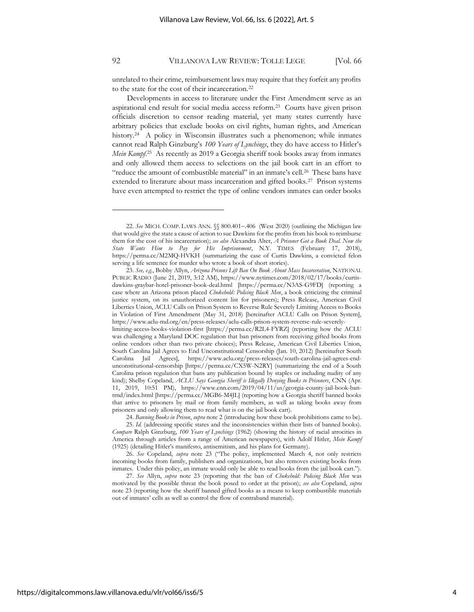unrelated to their crime, reimbursement laws may require that they forfeit any profits to the state for the cost of their incarceration.<sup>22</sup>

Developments in access to literature under the First Amendment serve as an aspirational end result for social media access reform.<sup>23</sup> Courts have given prison officials discretion to censor reading material, yet many states currently have arbitrary policies that exclude books on civil rights, human rights, and American history.<sup>24</sup> A policy in Wisconsin illustrates such a phenomenon; while inmates cannot read Ralph Ginzburg's *100 Years of Lynchings*, they do have access to Hitler's *Mein Kampf*. 25 As recently as 2019 a Georgia sheriff took books away from inmates and only allowed them access to selections on the jail book cart in an effort to "reduce the amount of combustible material" in an inmate's cell.<sup>26</sup> These bans have extended to literature about mass incarceration and gifted books.<sup>27</sup> Prison systems have even attempted to restrict the type of online vendors inmates can order books

24. *Banning Books in Prison*, *supra* note 2 (introducing how these book prohibitions came to be). 25. *Id.* (addressing specific states and the inconsistencies within their lists of banned books). *Compare* Ralph Ginzburg, *100 Years of Lynchings* (1962) (showing the history of racial atrocities in

America through articles from a range of American newspapers), with Adolf Hitler, *Mein Kampf* (1925) (detailing Hitler's manifesto, antisemitism, and his plans for Germany).

26. *See* Copeland, *supra* note 23 ("The policy, implemented March 4, not only restricts incoming books from family, publishers and organizations, but also removes existing books from inmates. Under this policy, an inmate would only be able to read books from the jail book cart.").

27. *See* Allyn, *supra* note 23 (reporting that the ban of *Chokehold: Policing Black Men* was motivated by the possible threat the book posed to order at the prison); *see also* Copeland, *supra* note 23 (reporting how the sheriff banned gifted books as a means to keep combustible materials out of inmates' cells as well as control the flow of contraband material).

<sup>22.</sup> See MICH. COMP. LAWS ANN. §§ 800.401-.406 (West 2020) (outlining the Michigan law that would give the state a cause of action to sue Dawkins for the profits from his book to reimburse them for the cost of his incarceration); *see also* Alexandra Alter, *A Prisoner Got a Book Deal. Now the State Wants Him to Pay for His Imprisonment*, N.Y. TIMES (February 17, 2018), https://perma.cc/M2MQ-HVKH (summarizing the case of Curtis Dawkins, a convicted felon serving a life sentence for murder who wrote a book of short stories).

<sup>23.</sup> *See, e.g.*, Bobby Allyn, *Arizona Prisons Lift Ban On Book About Mass Incarceration*, NATIONAL PUBLIC RADIO (June 21, 2019, 3:12 AM), https://www.nytimes.com/2018/02/17/books/curtisdawkins-graybar-hotel-prisoner-book-deal.html [https://perma.cc/N3AS-G9FD] (reporting a case where an Arizona prison placed *Chokehold: Policing Black Men*, a book criticizing the criminal justice system, on its unauthorized content list for prisoners); Press Release, American Civil Liberties Union, ACLU Calls on Prison System to Reverse Rule Severely Limiting Access to Books in Violation of First Amendment (May 31, 2018) [hereinafter ACLU Calls on Prison System], https://www.aclu-md.org/en/press-releases/aclu-calls-prison-system-reverse-rule-severelylimiting-access-books-violation-first [https://perma.cc/R2L4-FYRZ] (reporting how the ACLU was challenging a Maryland DOC regulation that ban prisoners from receiving gifted books from online vendors other than two private choices); Press Release, American Civil Liberties Union, South Carolina Jail Agrees to End Unconstitutional Censorship (Jan. 10, 2012) [hereinafter South Carolina Jail Agrees], https://www.aclu.org/press-releases/south-carolina-jail-agrees-endunconstitutional-censorship [https://perma.cc/CX5W-N2RY] (summarizing the end of a South Carolina prison regulation that bans any publication bound by staples or including nudity of any kind); Shelby Copeland, *ACLU Says Georgia Sheriff is Illegally Denying Books to Prisoners*, CNN (Apr. 11, 2019, 10:51 PM), https://www.cnn.com/2019/04/11/us/georgia-county-jail-book-bantrnd/index.html [https://perma.cc/MGB6-M4JL] (reporting how a Georgia sheriff banned books that arrive to prisoners by mail or from family members, as well as taking books away from prisoners and only allowing them to read what is on the jail book cart).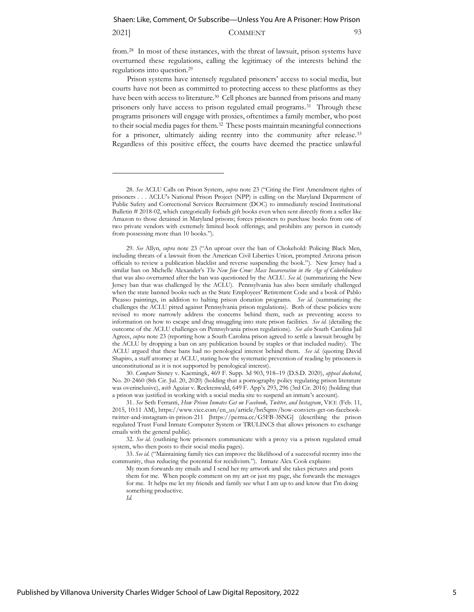#### 2021] COMMENT 93

from.<sup>28</sup> In most of these instances, with the threat of lawsuit, prison systems have overturned these regulations, calling the legitimacy of the interests behind the regulations into question.<sup>29</sup>

Prison systems have intensely regulated prisoners' access to social media, but courts have not been as committed to protecting access to these platforms as they have been with access to literature.<sup>30</sup> Cell phones are banned from prisons and many prisoners only have access to prison regulated email programs.<sup>31</sup> Through these programs prisoners will engage with proxies, oftentimes a family member, who post to their social media pages for them.<sup>32</sup> These posts maintain meaningful connections for a prisoner, ultimately aiding reentry into the community after release.<sup>33</sup> Regardless of this positive effect, the courts have deemed the practice unlawful

30. *Compare* Sisney v. Kaemingk, 469 F. Supp. 3d 903, 918–19 (D.S.D. 2020), *appeal docketed*, No. 20-2460 (8th Cir. Jul. 20, 2020) (holding that a pornography policy regulating prison literature was overinclusive), *with* Aguiar v. Recktenwald, 649 F. App'x 293, 296 (3rd Cir. 2016) (holding that a prison was justified in working with a social media site to suspend an inmate's account).

31. *See* Seth Ferranti, *How Prison Inmates Get on Facebook, Twitter, and Instagram*, VICE (Feb. 11, 2015, 10:11 AM), https://www.vice.com/en\_us/article/bn5qmv/how-convicts-get-on-facebooktwitter-and-instagram-in-prison-211 [https://perma.cc/G5FB-3SNG] (describing the prison regulated Trust Fund Inmate Computer System or TRULINCS that allows prisoners to exchange emails with the general public).

32. *See id.* (outlining how prisoners communicate with a proxy via a prison regulated email system, who then posts to their social media pages).

33. *See id.* ("Maintaining family ties can improve the likelihood of a successful reentry into the community, thus reducing the potential for recidivism."). Inmate Alex Cook explains:

My mom forwards my emails and I send her my artwork and she takes pictures and posts them for me. When people comment on my art or just my page, she forwards the messages for me. It helps me let my friends and family see what I am up to and know that I'm doing something productive.

<sup>28.</sup> *See* ACLU Calls on Prison System, *supra* note 23 ("Citing the First Amendment rights of prisoners . . . ACLU's National Prison Project (NPP) is calling on the Maryland Department of Public Safety and Correctional Services Recruitment (DOC) to immediately rescind Institutional Bulletin # 2018-02, which categorically forbids gift books even when sent directly from a seller like Amazon to those detained in Maryland prisons; forces prisoners to purchase books from one of two private vendors with extremely limited book offerings; and prohibits any person in custody from possessing more than 10 books.").

<sup>29.</sup> *See* Allyn, *supra* note 23 ("An uproar over the ban of Chokehold: Policing Black Men, including threats of a lawsuit from the American Civil Liberties Union, prompted Arizona prison officials to review a publication blacklist and reverse suspending the book."). New Jersey had a similar ban on Michelle Alexander's *The New Jim Crow: Mass Incarceration in the Age of Colorblindness*  that was also overturned after the ban was questioned by the ACLU. *See id.* (summarizing the New Jersey ban that was challenged by the ACLU). Pennsylvania has also been similarly challenged when the state banned books such as the State Employees' Retirement Code and a book of Pablo Picasso paintings, in addition to halting prison donation programs. *See id.* (summarizing the challenges the ACLU pitted against Pennsylvania prison regulations). Both of these policies were revised to more narrowly address the concerns behind them, such as preventing access to information on how to escape and drug smuggling into state prison facilities. *See id.* (detailing the outcome of the ACLU challenges on Pennsylvania prison regulations). *See also* South Carolina Jail Agrees, *supra* note 23 (reporting how a South Carolina prison agreed to settle a lawsuit brought by the ACLU by dropping a ban on any publication bound by staples or that included nudity). The ACLU argued that these bans had no penological interest behind them. *See id.* (quoting David Shapiro, a staff attorney at ACLU, stating how the systematic prevention of reading by prisoners is unconstitutional as it is not supported by penological interest).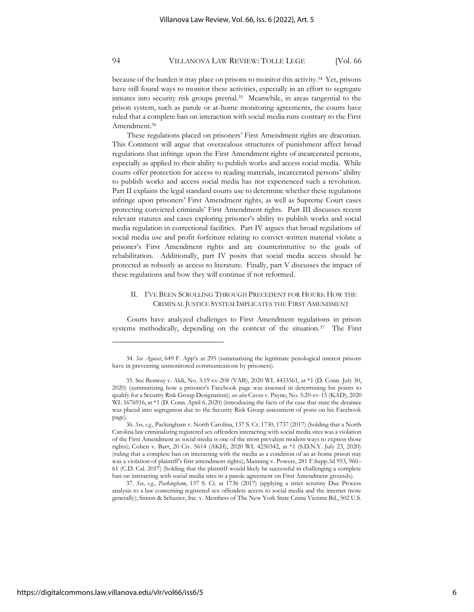because of the burden it may place on prisons to monitor this activity.<sup>34</sup> Yet, prisons have still found ways to monitor these activities, especially in an effort to segregate inmates into security risk groups pretrial.<sup>35</sup> Meanwhile, in areas tangential to the prison system, such as parole or at-home monitoring agreements, the courts have ruled that a complete ban on interaction with social media runs contrary to the First Amendment.<sup>36</sup>

These regulations placed on prisoners' First Amendment rights are draconian. This Comment will argue that overzealous structures of punishment affect broad regulations that infringe upon the First Amendment rights of incarcerated persons, especially as applied to their ability to publish works and access social media. While courts offer protection for access to reading materials, incarcerated persons' ability to publish works and access social media has not experienced such a revolution. Part II explains the legal standard courts use to determine whether these regulations infringe upon prisoners' First Amendment rights, as well as Supreme Court cases protecting convicted criminals' First Amendment rights. Part III discusses recent relevant statutes and cases exploring prisoner's ability to publish works and social media regulation in correctional facilities. Part IV argues that broad regulations of social media use and profit forfeiture relating to convict-written material violate a prisoner's First Amendment rights and are counterintuitive to the goals of rehabilitation. Additionally, part IV posits that social media access should be protected as robustly as access to literature. Finally, part V discusses the impact of these regulations and how they will continue if not reformed.

## II. I'VE BEEN SCROLLING THROUGH PRECEDENT FOR HOURS: HOW THE CRIMINAL JUSTICE SYSTEM IMPLICATES THE FIRST AMENDMENT

Courts have analyzed challenges to First Amendment regulations in prison systems methodically, depending on the context of the situation.<sup>37</sup> The First

37. *See, e.g.*, *Packingham*, 137 S. Ct. at 1736 (2017) (applying a strict scrutiny Due Process analysis to a law concerning registered sex offenders access to social media and the internet more generally); Simon & Schuster, Inc. v. Members of The New York State Crime Victims Bd., 502 U.S.

<sup>34.</sup> *See Aguiar*, 649 F. App'x at 295 (summarizing the legitimate penological interest prisons have in preventing unmonitored communications by prisoners).

<sup>35.</sup> See Benway v. Aldi, No. 3:19-cv-208 (VAB), 2020 WL 4433561, at \*1 (D. Conn. July 30, 2020) (summarizing how a prisoner's Facebook page was assessed in determining his points to qualify for a Security Risk Group Designation); *see also* Caves v. Payne, No. 3:20-cv-15 (KAD), 2020 WL 1676916, at \*1 (D. Conn. April 6, 2020) (introducing the facts of the case that state the detainee was placed into segregation due to the Security Risk Group assessment of posts on his Facebook page).

<sup>36.</sup> *See, e.g.*, Packingham v. North Carolina, 137 S. Ct. 1730, 1737 (2017) (holding that a North Carolina law criminalizing registered sex offenders interacting with social media sites was a violation of the First Amendment as social media is one of the most prevalent modern ways to express those rights); Cohen v. Barr, 20 Civ. 5614 (AKH), 2020 WL 4250342, at \*1 (S.D.N.Y. July 23, 2020) (ruling that a complete ban on interacting with the media as a condition of an at-home prison stay was a violation of plaintiff's first amendment rights); Manning v. Powers, 281 F.Supp.3d 953, 960– 61 (C.D. Cal. 2017) (holding that the plaintiff would likely be successful in challenging a complete ban on interacting with social media sites in a parole agreement on First Amendment grounds).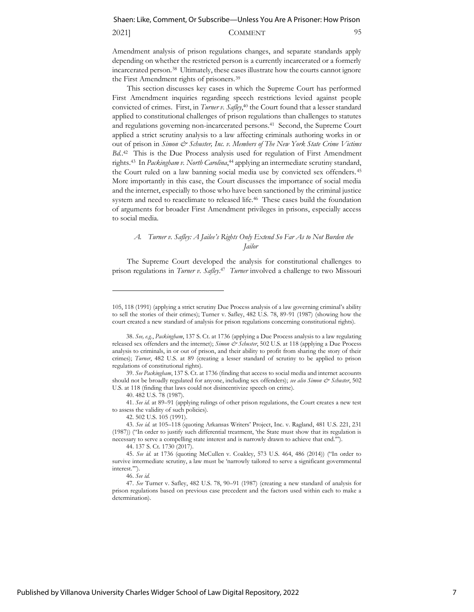#### 2021] COMMENT 95

Amendment analysis of prison regulations changes, and separate standards apply depending on whether the restricted person is a currently incarcerated or a formerly incarcerated person.<sup>38</sup> Ultimately, these cases illustrate how the courts cannot ignore the First Amendment rights of prisoners.<sup>39</sup>

This section discusses key cases in which the Supreme Court has performed First Amendment inquiries regarding speech restrictions levied against people convicted of crimes. First, in *Turner v. Safley*, <sup>40</sup> the Court found that a lesser standard applied to constitutional challenges of prison regulations than challenges to statutes and regulations governing non-incarcerated persons.<sup>41</sup> Second, the Supreme Court applied a strict scrutiny analysis to a law affecting criminals authoring works in or out of prison in *Simon & Schuster*, Inc. v. Members of The New York State Crime Victims Bd.<sup>42</sup> This is the Due Process analysis used for regulation of First Amendment rights.<sup>43</sup> In *Packingham v. North Carolina*, <sup>44</sup> applying an intermediate scrutiny standard, the Court ruled on a law banning social media use by convicted sex offenders. <sup>45</sup> More importantly in this case, the Court discusses the importance of social media and the internet, especially to those who have been sanctioned by the criminal justice system and need to reacclimate to released life.<sup>46</sup> These cases build the foundation of arguments for broader First Amendment privileges in prisons, especially access to social media.

## *A. Turner v. Safley: A Jailee's Rights Only Extend So Far As to Not Burden the Jailor*

The Supreme Court developed the analysis for constitutional challenges to prison regulations in *Turner v. Safley*. 47 *Turner* involved a challenge to two Missouri

40. 482 U.S. 78 (1987).

41. *See id.* at 89–91 (applying rulings of other prison regulations, the Court creates a new test to assess the validity of such policies).

44. 137 S. Ct. 1730 (2017).

<sup>105, 118 (1991) (</sup>applying a strict scrutiny Due Process analysis of a law governing criminal's ability to sell the stories of their crimes); Turner v. Safley, 482 U.S. 78, 89-91 (1987) (showing how the court created a new standard of analysis for prison regulations concerning constitutional rights).

<sup>38.</sup> *See, e.g.*, *Packingham*, 137 S. Ct. at 1736 (applying a Due Process analysis to a law regulating released sex offenders and the internet); *Simon & Schuster*, 502 U.S. at 118 (applying a Due Process analysis to criminals, in or out of prison, and their ability to profit from sharing the story of their crimes); *Turner*, 482 U.S. at 89 (creating a lesser standard of scrutiny to be applied to prison regulations of constitutional rights).

<sup>39.</sup> *See Packingham*, 137 S. Ct. at 1736 (finding that access to social media and internet accounts should not be broadly regulated for anyone, including sex offenders); *see also Simon & Schuster*, 502 U.S. at 118 (finding that laws could not disincentivize speech on crime).

<sup>42.</sup> 502 U.S. 105 (1991).

<sup>43.</sup> *See id.* at 105–118 (quoting Arkansas Writers' Project, Inc. v. Ragland, 481 U.S. 221, 231 (1987)) ("In order to justify such differential treatment, 'the State must show that its regulation is necessary to serve a compelling state interest and is narrowly drawn to achieve that end.'").

<sup>45.</sup> *See id.* at 1736 (quoting McCullen v. Coakley, 573 U.S. 464, 486 (2014)) ("In order to survive intermediate scrutiny, a law must be 'narrowly tailored to serve a significant governmental interest.'").

<sup>46.</sup> *See id.*

<sup>47.</sup> *See* Turner v. Safley, 482 U.S. 78, 90–91 (1987) (creating a new standard of analysis for prison regulations based on previous case precedent and the factors used within each to make a determination).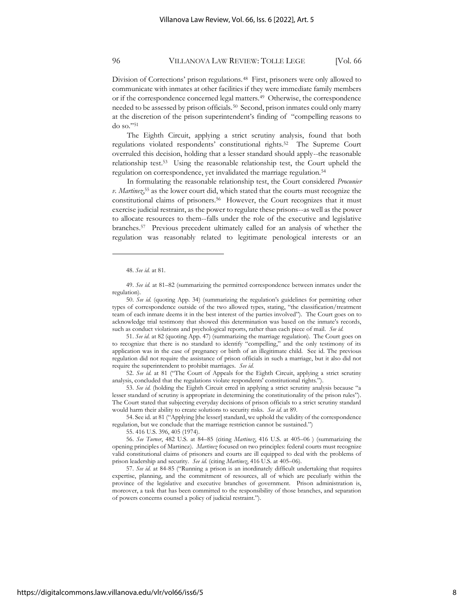Division of Corrections' prison regulations.<sup>48</sup> First, prisoners were only allowed to communicate with inmates at other facilities if they were immediate family members or if the correspondence concerned legal matters.<sup>49</sup> Otherwise, the correspondence needed to be assessed by prison officials.<sup>50</sup> Second, prison inmates could only marry at the discretion of the prison superintendent's finding of "compelling reasons to do so."<sup>51</sup>

The Eighth Circuit, applying a strict scrutiny analysis, found that both regulations violated respondents' constitutional rights.<sup>52</sup> The Supreme Court overruled this decision, holding that a lesser standard should apply--the reasonable relationship test.<sup>53</sup> Using the reasonable relationship test, the Court upheld the regulation on correspondence, yet invalidated the marriage regulation.<sup>54</sup>

In formulating the reasonable relationship test, the Court considered *Procunier v. Martinez*, <sup>55</sup> as the lower court did, which stated that the courts must recognize the constitutional claims of prisoners.<sup>56</sup> However, the Court recognizes that it must exercise judicial restraint, as the power to regulate these prisons--as well as the power to allocate resources to them--falls under the role of the executive and legislative branches.<sup>57</sup> Previous precedent ultimately called for an analysis of whether the regulation was reasonably related to legitimate penological interests or an

49. *See id.* at 81–82 (summarizing the permitted correspondence between inmates under the regulation).

51. *See id.* at 82 (quoting App. 47) (summarizing the marriage regulation). The Court goes on to recognize that there is no standard to identify "compelling," and the only testimony of its application was in the case of pregnancy or birth of an illegitimate child. See id. The previous regulation did not require the assistance of prison officials in such a marriage, but it also did not require the superintendent to prohibit marriages. *See id.*

52. *See id.* at 81 ("The Court of Appeals for the Eighth Circuit, applying a strict scrutiny analysis, concluded that the regulations violate respondents' constitutional rights.").

53. *See id.* (holding the Eighth Circuit erred in applying a strict scrutiny analysis because "a lesser standard of scrutiny is appropriate in determining the constitutionality of the prison rules"). The Court stated that subjecting everyday decisions of prison officials to a strict scrutiny standard would harm their ability to create solutions to security risks. *See id.* at 89.

54. See id. at 81 ("Applying [the lesser] standard, we uphold the validity of the correspondence regulation, but we conclude that the marriage restriction cannot be sustained.")

55. 416 U.S. 396, 405 (1974).

56. *See Turner*, 482 U.S. at 84–85 (citing *Martinez*, 416 U.S. at 405–06 ) (summarizing the opening principles of Martinez). *Martinez* focused on two principles: federal courts must recognize valid constitutional claims of prisoners and courts are ill equipped to deal with the problems of prison leadership and security. *See id.* (citing *Martinez*, 416 U.S. at 405–06).

57. *See id.* at 84-85 ("Running a prison is an inordinately difficult undertaking that requires expertise, planning, and the commitment of resources, all of which are peculiarly within the province of the legislative and executive branches of government. Prison administration is, moreover, a task that has been committed to the responsibility of those branches, and separation of powers concerns counsel a policy of judicial restraint.").

<sup>48.</sup> *See id.* at 81.

<sup>50.</sup> *See id.* (quoting App. 34) (summarizing the regulation's guidelines for permitting other types of correspondence outside of the two allowed types, stating, "the classification/treatment team of each inmate deems it in the best interest of the parties involved"). The Court goes on to acknowledge trial testimony that showed this determination was based on the inmate's records, such as conduct violations and psychological reports, rather than each piece of mail. *See id.*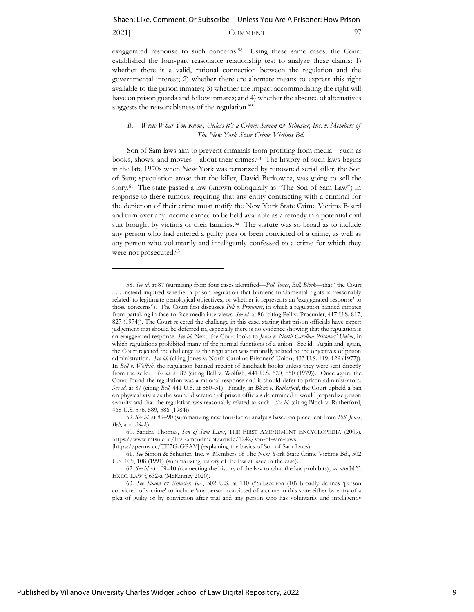## 2021] COMMENT 97

exaggerated response to such concerns.<sup>58</sup> Using these same cases, the Court established the four-part reasonable relationship test to analyze these claims: 1) whether there is a valid, rational connection between the regulation and the governmental interest; 2) whether there are alternate means to express this right available to the prison inmates; 3) whether the impact accommodating the right will have on prison guards and fellow inmates; and 4) whether the absence of alternatives suggests the reasonableness of the regulation.<sup>59</sup>

## *B. Write What You Know, Unless it's a Crime: Simon*  $\breve{c}$  *Schuster, Inc. v. Members of The New York State Crime Victims Bd.*

Son of Sam laws aim to prevent criminals from profiting from media—such as books, shows, and movies—about their crimes.<sup>60</sup> The history of such laws begins in the late 1970s when New York was terrorized by renowned serial killer, the Son of Sam; speculation arose that the killer, David Berkowitz, was going to sell the story.<sup>61</sup> The state passed a law (known colloquially as "The Son of Sam Law") in response to these rumors, requiring that any entity contracting with a criminal for the depiction of their crime must notify the New York State Crime Victims Board and turn over any income earned to be held available as a remedy in a potential civil suit brought by victims or their families.<sup>62</sup> The statute was so broad as to include any person who had entered a guilty plea or been convicted of a crime, as well as any person who voluntarily and intelligently confessed to a crime for which they were not prosecuted.<sup>63</sup>

<sup>58.</sup> *See id.* at 87 (surmising from four cases identified—*Pell*, *Jones*, *Bell*, *Block*—that "the Court . . . instead inquired whether a prison regulation that burdens fundamental rights is 'reasonably related' to legitimate penological objectives, or whether it represents an 'exaggerated response' to those concerns"). The Court first discusses *Pell v. Procunier*, in which a regulation banned inmates from partaking in face-to-face media interviews. *See id.* at 86 (citing Pell v. Procunier, 417 U.S. 817, 827 (1974)). The Court rejected the challenge in this case, stating that prison officials have expert judgement that should be deferred to, especially there is no evidence showing that the regulation is an exaggerated response. *See id.* Next, the Court looks to *Jones v. North Carolina Prisoners' Union*, in which regulations prohibited many of the normal functions of a union. See id. Again and, again, the Court rejected the challenge as the regulation was rationally related to the objectives of prison administration. *See id.* (citing Jones v. North Carolina Prisoners' Union, 433 U.S. 119, 129 (1977)). In *Bell v. Wolfish*, the regulation banned receipt of hardback books unless they were sent directly from the seller. *See id.* at 87 (citing Bell v. Wolfish, 441 U.S. 520, 550 (1979)). Once again, the Court found the regulation was a rational response and it should defer to prison administrators. *See id.* at 87 (citing *Bell*, 441 U.S. at 550–51). Finally, in *Block v. Rutherford*, the Court upheld a ban on physical visits as the sound discretion of prison officials determined it would jeopardize prison security and that the regulation was reasonably related to such. *See id.* (citing Block v. Rutherford, 468 U.S. 576, 589, 586 (1984)).

<sup>59.</sup> *See id.* at 89–90 (summarizing new four-factor analysis based on precedent from *Pell*, *Jones*, *Bell*, and *Block*).

<sup>60.</sup> Sandra Thomas, *Son of Sam Laws*, THE FIRST AMENDMENT ENCYCLOPEDIA (2009), <https://www.mtsu.edu/first-amendment/article/1242/son-of-sam-laws> [https://perma.cc/TE7G-GPAV] (explaining the basics of Son of Sam Laws).

<sup>61.</sup> *See* Simon & Schuster, Inc. v. Members of The New York State Crime Victims Bd., 502 U.S. 105, 108 (1991) (summarizing history of the law at issue in the case).

<sup>62.</sup> *See id.* at 109–10 (connecting the history of the law to what the law prohibits); *see also* N.Y. EXEC. LAW § 632-a (McKinney 2020).

<sup>63.</sup> *See Simon & Schuster, Inc*., 502 U.S. at 110 ("Subsection (10) broadly defines 'person convicted of a crime' to include 'any person convicted of a crime in this state either by entry of a plea of guilty or by conviction after trial and any person who has voluntarily and intelligently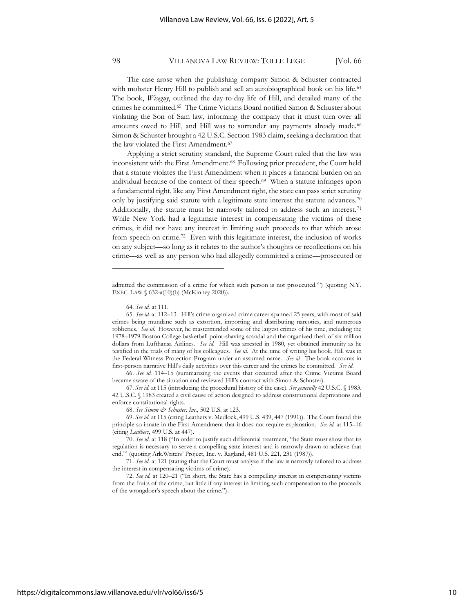The case arose when the publishing company Simon & Schuster contracted with mobster Henry Hill to publish and sell an autobiographical book on his life.<sup>64</sup> The book, *Wiseguy*, outlined the day-to-day life of Hill, and detailed many of the crimes he committed.<sup>65</sup> The Crime Victims Board notified Simon & Schuster about violating the Son of Sam law, informing the company that it must turn over all amounts owed to Hill, and Hill was to surrender any payments already made.<sup>66</sup> Simon & Schuster brought a 42 U.S.C. Section 1983 claim, seeking a declaration that the law violated the First Amendment.<sup>67</sup>

Applying a strict scrutiny standard, the Supreme Court ruled that the law was inconsistent with the First Amendment.<sup>68</sup> Following prior precedent, the Court held that a statute violates the First Amendment when it places a financial burden on an individual because of the content of their speech.<sup>69</sup> When a statute infringes upon a fundamental right, like any First Amendment right, the state can pass strict scrutiny only by justifying said statute with a legitimate state interest the statute advances.<sup>70</sup> Additionally, the statute must be narrowly tailored to address such an interest.<sup>71</sup> While New York had a legitimate interest in compensating the victims of these crimes, it did not have any interest in limiting such proceeds to that which arose from speech on crime.<sup>72</sup> Even with this legitimate interest, the inclusion of works on any subject—so long as it relates to the author's thoughts or recollections on his crime—as well as any person who had allegedly committed a crime—prosecuted or

admitted the commission of a crime for which such person is not prosecuted.'") (quoting N.Y. EXEC. LAW § 632-a(10)(b) (McKinney 2020)).

<sup>64.</sup> *See id.* at 111.

<sup>65.</sup> *See id.* at 112–13. Hill's crime organized crime career spanned 25 years, with most of said crimes being mundane such as extortion, importing and distributing narcotics, and numerous robberies. *See id.* However, he masterminded some of the largest crimes of his time, including the 1978–1979 Boston College basketball point-shaving scandal and the organized theft of six million dollars from Lufthansa Airlines. *See id.* Hill was arrested in 1980, yet obtained immunity as he testified in the trials of many of his colleagues. *See id.* At the time of writing his book, Hill was in the Federal Witness Protection Program under an assumed name. *See id.* The book accounts in first-person narrative Hill's daily activities over this career and the crimes he committed. *See id.*

<sup>66.</sup> *See id.* 114–15 (summarizing the events that occurred after the Crime Victims Board became aware of the situation and reviewed Hill's contract with Simon & Schuster).

<sup>67.</sup> *See id.* at 115 (introducing the procedural history of the case). *See generally* 42 U.S.C. § 1983. 42 U.S.C. § 1983 created a civil cause of action designed to address constitutional deprivations and enforce constitutional rights.

<sup>68.</sup> *See Simon & Schuster, Inc.*, 502 U.S. at 123.

<sup>69.</sup> *See id.* at 115 (citing Leathers v. Medlock, 499 U.S. 439, 447 (1991)). The Court found this principle so innate in the First Amendment that it does not require explanation. *See id.* at 115–16 (citing *Leathers*, 499 U.S. at 447).

<sup>70.</sup> *See id.* at 118 ("In order to justify such differential treatment, 'the State must show that its regulation is necessary to serve a compelling state interest and is narrowly drawn to achieve that end.'" (quoting Ark.Writers' Project, Inc. v. Ragland, 481 U.S. 221, 231 (1987)).

<sup>71.</sup> *See id.* at 121 (stating that the Court must analyze if the law is narrowly tailored to address the interest in compensating victims of crime).

<sup>72.</sup> *See id.* at 120–21 ("In short, the State has a compelling interest in compensating victims from the fruits of the crime, but little if any interest in limiting such compensation to the proceeds of the wrongdoer's speech about the crime.").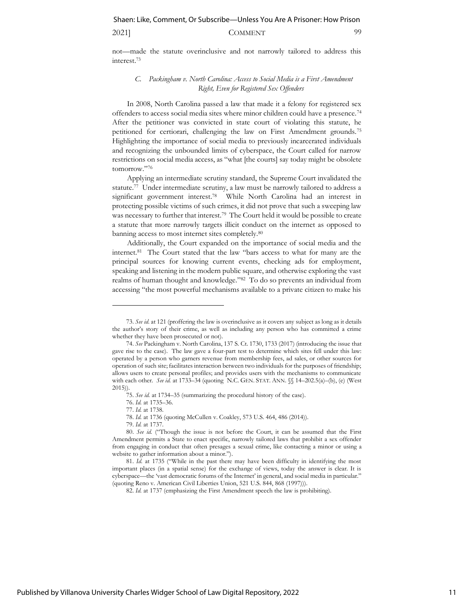## 2021] COMMENT 99

not—made the statute overinclusive and not narrowly tailored to address this interest.<sup>73</sup>

#### *C. Packingham v. North Carolina: Access to Social Media is a First Amendment Right, Even for Registered Sex Offenders*

In 2008, North Carolina passed a law that made it a felony for registered sex offenders to access social media sites where minor children could have a presence.<sup>74</sup> After the petitioner was convicted in state court of violating this statute, he petitioned for certiorari, challenging the law on First Amendment grounds.<sup>75</sup> Highlighting the importance of social media to previously incarcerated individuals and recognizing the unbounded limits of cyberspace, the Court called for narrow restrictions on social media access, as "what [the courts] say today might be obsolete tomorrow."<sup>76</sup>

Applying an intermediate scrutiny standard, the Supreme Court invalidated the statute.<sup>77</sup> Under intermediate scrutiny, a law must be narrowly tailored to address a significant government interest.<sup>78</sup> While North Carolina had an interest in protecting possible victims of such crimes, it did not prove that such a sweeping law was necessary to further that interest.<sup>79</sup> The Court held it would be possible to create a statute that more narrowly targets illicit conduct on the internet as opposed to banning access to most internet sites completely.<sup>80</sup>

Additionally, the Court expanded on the importance of social media and the internet.<sup>81</sup> The Court stated that the law "bars access to what for many are the principal sources for knowing current events, checking ads for employment, speaking and listening in the modern public square, and otherwise exploring the vast realms of human thought and knowledge."<sup>82</sup> To do so prevents an individual from accessing "the most powerful mechanisms available to a private citizen to make his

<sup>73.</sup> *See id.* at 121 (proffering the law is overinclusive as it covers any subject as long as it details the author's story of their crime, as well as including any person who has committed a crime whether they have been prosecuted or not).

<sup>74.</sup> *See* Packingham v. North Carolina, 137 S. Ct. 1730, 1733 (2017) (introducing the issue that gave rise to the case). The law gave a four-part test to determine which sites fell under this law: operated by a person who garners revenue from membership fees, ad sales, or other sources for operation of such site; facilitates interaction between two individuals for the purposes of friendship; allows users to create personal profiles; and provides users with the mechanisms to communicate with each other. *See id.* at 1733–34 (quoting N.C. GEN. STAT. ANN. §§ 14–202.5(a)–(b), (e) (West 2015)).

<sup>75.</sup> *See id.* at 1734–35 (summarizing the procedural history of the case).

<sup>76.</sup> *Id.* at 1735–36.

<sup>77.</sup> *Id.* at 1738.

<sup>78.</sup> *Id.* at 1736 (quoting McCullen v. Coakley, 573 U.S. 464, 486 (2014)).

<sup>79.</sup> *Id.* at 1737.

<sup>80.</sup> *See id.* ("Though the issue is not before the Court, it can be assumed that the First Amendment permits a State to enact specific, narrowly tailored laws that prohibit a sex offender from engaging in conduct that often presages a sexual crime, like contacting a minor or using a website to gather information about a minor.").

<sup>81.</sup> *Id.* at 1735 ("While in the past there may have been difficulty in identifying the most important places (in a spatial sense) for the exchange of views, today the answer is clear. It is cyberspace—the 'vast democratic forums of the Internet' in general, and social media in particular." (quoting Reno v. American Civil Liberties Union, 521 U.S. 844, 868 (1997))).

<sup>82.</sup> *Id.* at 1737 (emphasizing the First Amendment speech the law is prohibiting).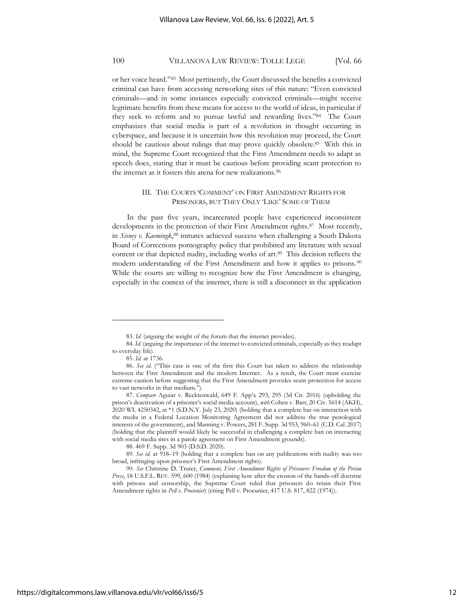or her voice heard."<sup>83</sup> Most pertinently, the Court discussed the benefits a convicted criminal can have from accessing networking sites of this nature: "Even convicted criminals—and in some instances especially convicted criminals—might receive legitimate benefits from these means for access to the world of ideas, in particular if they seek to reform and to pursue lawful and rewarding lives."<sup>84</sup> The Court emphasizes that social media is part of a revolution in thought occurring in cyberspace, and because it is uncertain how this revolution may proceed, the Court should be cautious about rulings that may prove quickly obsolete.<sup>85</sup> With this in mind, the Supreme Court recognized that the First Amendment needs to adapt as speech does, stating that it must be cautious before providing scant protection to the internet as it fosters this arena for new realizations.<sup>86</sup>

## III. THE COURTS 'COMMENT' ON FIRST AMENDMENT RIGHTS FOR PRISONERS, BUT THEY ONLY 'LIKE' SOME OF THEM

In the past five years, incarcerated people have experienced inconsistent developments in the protection of their First Amendment rights.<sup>87</sup> Most recently, in *Sisney v. Kaemingk*, <sup>88</sup> inmates achieved success when challenging a South Dakota Board of Corrections pornography policy that prohibited any literature with sexual content or that depicted nudity, including works of art.<sup>89</sup> This decision reflects the modern understanding of the First Amendment and how it applies to prisons.<sup>90</sup> While the courts are willing to recognize how the First Amendment is changing, especially in the context of the internet, there is still a disconnect in the application

<sup>83.</sup> *Id.* (arguing the weight of the forum that the internet provides).

<sup>84.</sup> *Id.* (arguing the importance of the internet to convicted criminals, especially as they readapt to everyday life).

<sup>85.</sup> *Id.* at 1736.

<sup>86.</sup> *See id.* ("This case is one of the first this Court has taken to address the relationship between the First Amendment and the modern Internet. As a result, the Court must exercise extreme caution before suggesting that the First Amendment provides scant protection for access to vast networks in that medium.").

<sup>87.</sup> *Compare* Aguiar v. Recktenwald, 649 F. App'x 293, 295 (3d Cir. 2016) (upholding the prison's deactivation of a prisoner's social media account), *with* Cohen v. Barr, 20 Civ. 5614 (AKH), 2020 WL 4250342, at \*1 (S.D.N.Y. July 23, 2020) (holding that a complete bar on interaction with the media in a Federal Location Monitoring Agreement did not address the true penological interests of the government), and Manning v. Powers, 281 F. Supp. 3d 953, 960–61 (C.D. Cal. 2017) (holding that the plaintiff would likely be successful in challenging a complete ban on interacting with social media sites in a parole agreement on First Amendment grounds).

<sup>88.</sup> 469 F. Supp. 3d 903 (D.S.D. 2020).

<sup>89.</sup> *See id.* at 918–19 (holding that a complete ban on any publications with nudity was too broad, infringing upon prisoner's First Amendment rights).

<sup>90.</sup> *See* Christine D. Truter, *Comment, First Amendment Rights of Prisoners: Freedom of the Prison Press*, 18 U.S.F.L. REV. 599, 600 (1984) (explaining how after the erosion of the hands-off doctrine with prisons and censorship, the Supreme Court ruled that prisoners do retain their First Amendment rights in *Pell v. Procunier*) (citing Pell v. Procunier, 417 U.S. 817, 822 (1974)).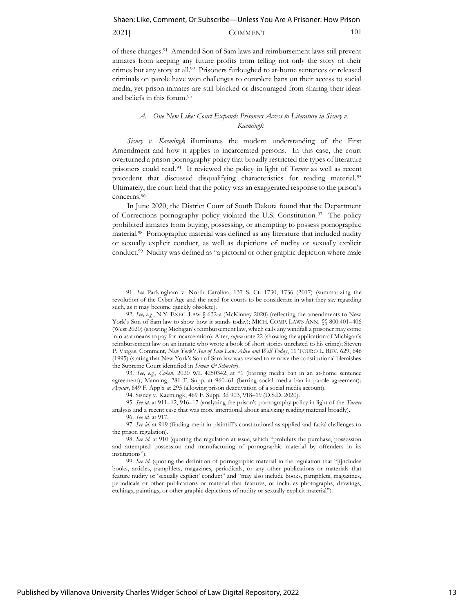## 2021] **COMMENT** 101

of these changes.<sup>91</sup> Amended Son of Sam laws and reimbursement laws still prevent inmates from keeping any future profits from telling not only the story of their crimes but any story at all.<sup>92</sup> Prisoners furloughed to at-home sentences or released criminals on parole have won challenges to complete bans on their access to social media, yet prison inmates are still blocked or discouraged from sharing their ideas and beliefs in this forum.<sup>93</sup>

## *A. One New Like: Court Expands Prisoners Access to Literature in Sisney v. Kaemingk*

*Sisney v. Kaemingk* illuminates the modern understanding of the First Amendment and how it applies to incarcerated persons. In this case, the court overturned a prison pornography policy that broadly restricted the types of literature prisoners could read.<sup>94</sup> It reviewed the policy in light of *Turner* as well as recent precedent that discussed disqualifying characteristics for reading material.<sup>95</sup> Ultimately, the court held that the policy was an exaggerated response to the prison's concerns.<sup>96</sup>

In June 2020, the District Court of South Dakota found that the Department of Corrections pornography policy violated the U.S. Constitution.<sup>97</sup> The policy prohibited inmates from buying, possessing, or attempting to possess pornographic material.<sup>98</sup> Pornographic material was defined as any literature that included nudity or sexually explicit conduct, as well as depictions of nudity or sexually explicit conduct.<sup>99</sup> Nudity was defined as "a pictorial or other graphic depiction where male

94. Sisney v. Kaemingk, 469 F. Supp. 3d 903, 918–19 (D.S.D. 2020).

<sup>91.</sup> *See* Packingham v. North Carolina, 137 S. Ct. 1730, 1736 (2017) (summarizing the revolution of the Cyber Age and the need for courts to be considerate in what they say regarding such, as it may become quickly obsolete).

<sup>92.</sup> See, e.g., N.Y. EXEC. LAW § 632-a (McKinney 2020) (reflecting the amendments to New York's Son of Sam law to show how it stands today); MICH. COMP. LAWS ANN.  $\{\$800.401-406$ (West 2020) (showing Michigan's reimbursement law, which calls any windfall a prisoner may come into as a means to pay for incarceration); Alter, *supra* note 22 (showing the application of Michigan's reimbursement law on an inmate who wrote a book of short stories unrelated to his crime); Steven P. Vargas, Comment, *New York's Son of Sam Law: Alive and Well Today*, 11 TOURO L. REV. 629, 646 (1995) (stating that New York's Son of Sam law was revised to remove the constitutional blemishes the Supreme Court identified in *Simon & Schuster*).

<sup>93.</sup> *See, e.g.*, *Cohen*, 2020 WL 4250342, at \*1 (barring media ban in an at-home sentence agreement); Manning, 281 F. Supp. at 960–61 (barring social media ban in parole agreement); *Aguiar*, 649 F. App'x at 295 (allowing prison deactivation of a social media account).

<sup>95.</sup> *See id.* at 911–12, 916–17 (analyzing the prison's pornography policy in light of the *Turner* analysis and a recent case that was more intentional about analyzing reading material broadly).

<sup>96.</sup> *See id.* at 917.

<sup>97.</sup> *See id.* at 919 (finding merit in plaintiff's constitutional as applied and facial challenges to the prison regulation).

<sup>98.</sup> *See id.* at 910 (quoting the regulation at issue, which "prohibits the purchase, possession and attempted possession and manufacturing of pornographic material by offenders in its institutions").

<sup>99.</sup> *See id.* (quoting the definition of pornographic material in the regulation that "[i]ncludes books, articles, pamphlets, magazines, periodicals, or any other publications or materials that feature nudity or 'sexually explicit' conduct" and "may also include books, pamphlets, magazines, periodicals or other publications or material that features, or includes photographs, drawings, etchings, paintings, or other graphic depictions of nudity or sexually explicit material").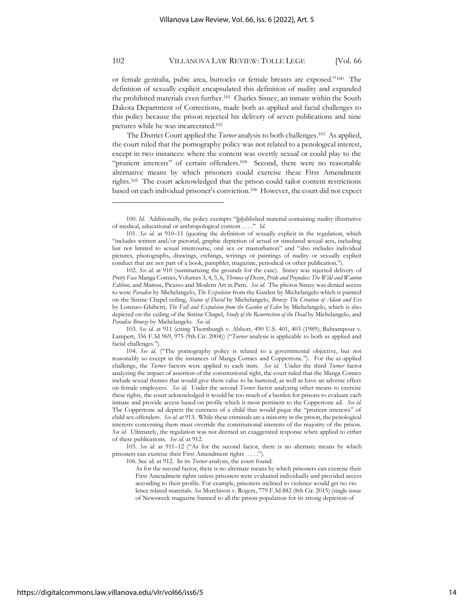or female genitalia, pubic area, buttocks or female breasts are exposed."<sup>100</sup> The definition of sexually explicit encapsulated this definition of nudity and expanded the prohibited materials even further.<sup>101</sup> Charles Sisney, an inmate within the South Dakota Department of Corrections, made both as-applied and facial challenges to this policy because the prison rejected his delivery of seven publications and nine pictures while he was incarcerated.<sup>102</sup>

The District Court applied the *Turner* analysis to both challenges.<sup>103</sup> As applied, the court ruled that the pornography policy was not related to a penological interest, except in two instances: where the content was overtly sexual or could play to the "prurient interests" of certain offenders.<sup>104</sup> Second, there were no reasonable alternative means by which prisoners could exercise these First Amendment rights.<sup>105</sup> The court acknowledged that the prison could tailor content restrictions based on each individual prisoner's conviction.<sup>106</sup> However, the court did not expect

<sup>100.</sup> *Id.* Additionally, the policy exempts "[p]ublished material containing nudity illustrative of medical, educational or anthropological content . . . ." *Id.*

<sup>101.</sup> *See id.* at 910–11 (quoting the definition of sexually explicit in the regulation, which "includes written and/or pictorial, graphic depiction of actual or simulated sexual acts, including but not limited to sexual intercourse, oral sex or masturbation" and "also includes individual pictures, photographs, drawings, etchings, writings or paintings of nudity or sexually explicit conduct that are not part of a book, pamphlet, magazine, periodical or other publication.").

<sup>102.</sup> *See id.* at 910 (summarizing the grounds for the case). Sisney was rejected delivery of *Pretty Face* Manga Comics, Volumes 3, 4, 5, 6, *Thrones of Desire*, *Pride and Prejudice: The Wild and Wanton Edition*, and Matisse, Picasso and Modern Art in Paris. *See id.* The photos Sisney was denied access to were *Paradise* by Michelangelo, *The Expulsion* from the Garden by Michelangelo which is painted on the Sistine Chapel ceiling, *Statue of David* by Michelangelo, *Bronze The Creation of Adam and Eve* by Lorenzo Ghiberti, *The Fall and Expulsion from the Garden of Eden* by Michelangelo, which is also depicted on the ceiling of the Sistine Chapel, *Study of the Resurrection of the Dead* by Michelangelo, and *Paradise Bronze* by Michelangelo. *See id.*

<sup>103.</sup> *See id.* at 911 (citing Thornburgh v. Abbott, 490 U.S. 401, 403 (1989); Bahrampour v. Lampert, 356 F.3d 969, 975 (9th Cir. 2004)) ("*Turner* analysis is applicable to both as applied and facial challenges.").

<sup>104.</sup> *See id.* ("The pornography policy is related to a governmental objective, but not reasonably so except in the instances of Manga Comics and Coppertone."). For the as-applied challenge, the *Turner* factors were applied to each item. *See id.* Under the third *Turner* factor analyzing the impact of assertion of the constitutional right, the court ruled that the Manga Comics include sexual themes that would give them value to be bartered, as well as have an adverse effect on female employees. *See id.* Under the second *Turner* factor analyzing other means to exercise these rights, the court acknowledged it would be too much of a burden for prisons to evaluate each inmate and provide access based on profile which is most pertinent to the Coppertone ad. *See id.* The Coppertone ad depicts the cuteness of a child that would pique the "prurient interests" of child sex offenders. *See id.* at 913. While these criminals are a minority in the prison, the penological interests concerning them must override the constitutional interests of the majority of the prison. *See id.* Ultimately, the regulation was not deemed an exaggerated response when applied to either of these publications. *See id.* at 912.

<sup>105.</sup> *See id.* at 911–12 ("As for the second factor, there is no alternate means by which prisoners can exercise their First Amendment rights . . . .").

<sup>106.</sup> See id. at 912. In its *Turner* analysis, the court found:

As for the second factor, there is no alternate means by which prisoners can exercise their First Amendment rights unless prisoners were evaluated individually and provided access according to their profile. For example, prisoners inclined to violence would get no vio lence related materials. *See* Murchison v. Rogers, 779 F.3d 882 (8th Cir. 2015) (single issue of Newsweek magazine banned to all the prison population for its strong depiction of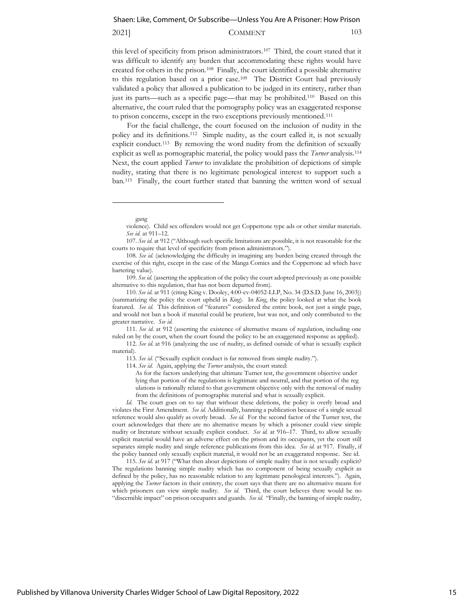## 2021] COMMENT 103

this level of specificity from prison administrators.<sup>107</sup> Third, the court stated that it was difficult to identify any burden that accommodating these rights would have created for others in the prison.<sup>108</sup> Finally, the court identified a possible alternative to this regulation based on a prior case.<sup>109</sup> The District Court had previously validated a policy that allowed a publication to be judged in its entirety, rather than just its parts—such as a specific page—that may be prohibited.<sup>110</sup> Based on this alternative, the court ruled that the pornography policy was an exaggerated response to prison concerns, except in the two exceptions previously mentioned.<sup>111</sup>

For the facial challenge, the court focused on the inclusion of nudity in the policy and its definitions.<sup>112</sup> Simple nudity, as the court called it, is not sexually explicit conduct.<sup>113</sup> By removing the word nudity from the definition of sexually explicit as well as pornographic material, the policy would pass the *Turner* analysis.<sup>114</sup> Next, the court applied *Turner* to invalidate the prohibition of depictions of simple nudity, stating that there is no legitimate penological interest to support such a ban.<sup>115</sup> Finally, the court further stated that banning the written word of sexual

*Id.* The court goes on to say that without these deletions, the policy is overly broad and violates the First Amendment. *See id.* Additionally, banning a publication because of a single sexual reference would also qualify as overly broad. *See id.* For the second factor of the Turner test, the court acknowledges that there are no alternative means by which a prisoner could view simple nudity or literature without sexually explicit conduct. *See id.* at 916–17. Third, to allow sexually explicit material would have an adverse effect on the prison and its occupants, yet the court still separates simple nudity and single reference publications from this idea. *See id.* at 917. Finally, if the policy banned only sexually explicit material, it would not be an exaggerated response. See id.

115. *See id.* at 917 ("What then about depictions of simple nudity that is not sexually explicit? The regulations banning simple nudity which has no component of being sexually explicit as defined by the policy, has no reasonable relation to any legitimate penological interests."). Again, applying the *Turner* factors in their entirety, the court says that there are no alternative means for which prisoners can view simple nudity. *See id.* Third, the court believes there would be no "discernible impact" on prison occupants and guards. *See id.* "Finally, the banning of simple nudity,

gang

violence). Child sex offenders would not get Coppertone type ads or other similar materials. *See id.* at 911–12.

<sup>107.</sup> *See id.* at 912 ("Although such specific limitations are possible, it is not reasonable for the courts to require that level of specificity from prison administrators.").

<sup>108.</sup> *See id.* (acknowledging the difficulty in imagining any burden being created through the exercise of this right, except in the case of the Manga Comics and the Coppertone ad which have bartering value).

<sup>109.</sup> *See id.* (asserting the application of the policy the court adopted previously as one possible alternative to this regulation, that has not been departed from).

<sup>110.</sup> *See id.* at 911 (citing King v. Dooley, 4:00-cv-04052-LLP, No. 34 (D.S.D. June 16, 2003)) (summarizing the policy the court upheld in *King*). In *King*, the policy looked at what the book featured. *See id.* This definition of "features" considered the entire book, not just a single page, and would not ban a book if material could be prurient, but was not, and only contributed to the greater narrative. *See id.*

<sup>111.</sup> *See id.* at 912 (asserting the existence of alternative means of regulation, including one ruled on by the court, when the court found the policy to be an exaggerated response as applied).

<sup>112.</sup> *See id.* at 916 (analyzing the use of nudity, as defined outside of what is sexually explicit material).

<sup>113.</sup> *See id.* ("Sexually explicit conduct is far removed from simple nudity.").

<sup>114.</sup> *See id.* Again, applying the *Turner* analysis, the court stated:

As for the factors underlying that ultimate Turner test, the government objective under lying that portion of the regulations is legitimate and neutral, and that portion of the reg ulations is rationally related to that government objective only with the removal of nudity from the definitions of pornographic material and what is sexually explicit.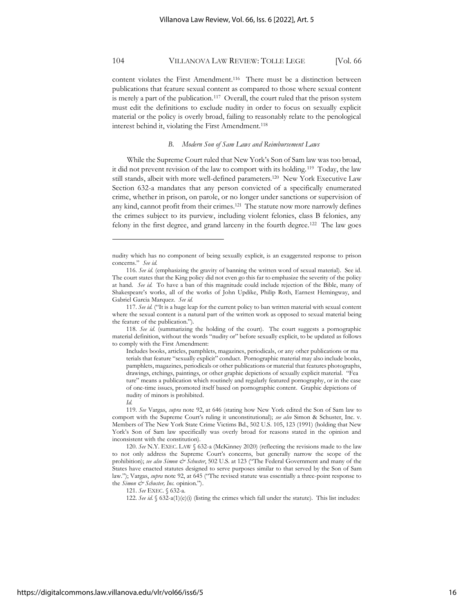content violates the First Amendment.<sup>116</sup> There must be a distinction between publications that feature sexual content as compared to those where sexual content is merely a part of the publication.<sup>117</sup> Overall, the court ruled that the prison system must edit the definitions to exclude nudity in order to focus on sexually explicit material or the policy is overly broad, failing to reasonably relate to the penological interest behind it, violating the First Amendment.<sup>118</sup>

#### *B. Modern Son of Sam Laws and Reimbursement Laws*

While the Supreme Court ruled that New York's Son of Sam law was too broad, it did not prevent revision of the law to comport with its holding.<sup>119</sup> Today, the law still stands, albeit with more well-defined parameters.<sup>120</sup> New York Executive Law Section 632-a mandates that any person convicted of a specifically enumerated crime, whether in prison, on parole, or no longer under sanctions or supervision of any kind, cannot profit from their crimes.<sup>121</sup> The statute now more narrowly defines the crimes subject to its purview, including violent felonies, class B felonies, any felony in the first degree, and grand larceny in the fourth degree.<sup>122</sup> The law goes

nudity which has no component of being sexually explicit, is an exaggerated response to prison concerns." *See id.*

<sup>116.</sup> *See id.* (emphasizing the gravity of banning the written word of sexual material). See id. The court states that the King policy did not even go this far to emphasize the severity of the policy at hand. *See id.* To have a ban of this magnitude could include rejection of the Bible, many of Shakespeare's works, all of the works of John Updike, Philip Roth, Earnest Hemingway, and Gabriel Garcia Marquez. *See id.*

<sup>117.</sup> *See id.* ("It is a huge leap for the current policy to ban written material with sexual content where the sexual content is a natural part of the written work as opposed to sexual material being the feature of the publication.").

<sup>118.</sup> *See id.* (summarizing the holding of the court). The court suggests a pornographic material definition, without the words "nudity or" before sexually explicit, to be updated as follows to comply with the First Amendment:

Includes books, articles, pamphlets, magazines, periodicals, or any other publications or ma terials that feature "sexually explicit" conduct. Pornographic material may also include books, pamphlets, magazines, periodicals or other publications or material that features photographs, drawings, etchings, paintings, or other graphic depictions of sexually explicit material. "Fea ture" means a publication which routinely and regularly featured pornography, or in the case of one-time issues, promoted itself based on pornographic content. Graphic depictions of nudity of minors is prohibited.

*Id.*

<sup>119.</sup> *See* Vargas, *supra* note 92, at 646 (stating how New York edited the Son of Sam law to comport with the Supreme Court's ruling it unconstitutional); *see also* Simon & Schuster, Inc. v. Members of The New York State Crime Victims Bd., 502 U.S. 105, 123 (1991) (holding that New York's Son of Sam law specifically was overly broad for reasons stated in the opinion and inconsistent with the constitution).

<sup>120.</sup> *See* N.Y. EXEC. LAW § 632-a (McKinney 2020) (reflecting the revisions made to the law to not only address the Supreme Court's concerns, but generally narrow the scope of the prohibition); *see also Simon & Schuster*, 502 U.S. at 123 ("The Federal Government and many of the States have enacted statutes designed to serve purposes similar to that served by the Son of Sam law."); Vargas, *supra* note 92, at 645 ("The revised statute was essentially a three-point response to the *Simon*  $\dot{\mathcal{C}}$  *Schuster, Inc.* opinion.").

<sup>121.</sup> *See* EXEC. § 632-a.

<sup>122.</sup> *See id.* § 632-a(1)(e)(i) (listing the crimes which fall under the statute). This list includes: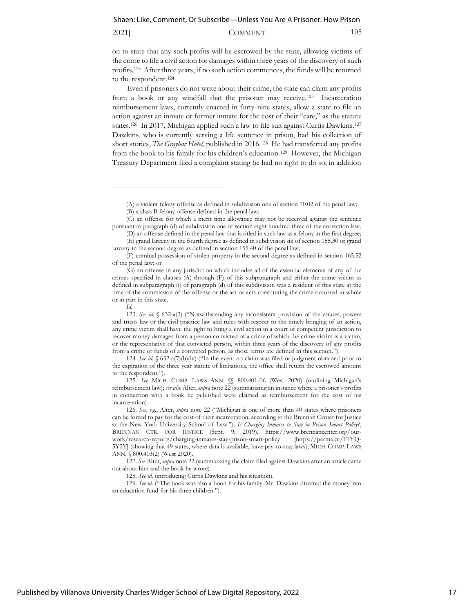2021] **COMMENT** 105

on to state that any such profits will be escrowed by the state, allowing victims of the crime to file a civil action for damages within three years of the discovery of such profits.<sup>123</sup> After three years, if no such action commences, the funds will be returned to the respondent.<sup>124</sup>

Even if prisoners do not write about their crime, the state can claim any profits from a book or any windfall that the prisoner may receive.<sup>125</sup> Incarceration reimbursement laws, currently enacted in forty-nine states, allow a state to file an action against an inmate or former inmate for the cost of their "care," as the statute states.<sup>126</sup> In 2017, Michigan applied such a law to file suit against Curtis Dawkins.<sup>127</sup> Dawkins, who is currently serving a life sentence in prison, had his collection of short stories, *The Graybar Hotel*, published in 2016.<sup>128</sup> He had transferred any profits from the book to his family for his children's education.<sup>129</sup> However, the Michigan Treasury Department filed a complaint stating he had no right to do so, in addition

(D) an offense defined in the penal law that is titled in such law as a felony in the first degree; (E) grand larceny in the fourth degree as defined in subdivision six of section 155.30 or grand larceny in the second degree as defined in section 155.40 of the penal law;

124. *See id.*  $\frac{632-a(7)}{b}$  (iv) ("In the event no claim was filed or judgment obtained prior to the expiration of the three year statute of limitations, the office shall return the escrowed amount to the respondent.").

125. *See* MICH. COMP. LAWS ANN. §§ 800.401-06 (West 2020) (outlining Michigan's reimbursement law); *see also* Alter, *supra* note 22 (summarizing an instance where a prisoner's profits in connection with a book he published were claimed as reimbursement for the cost of his incarceration).

128. *See id.* (introducing Curtis Dawkins and his situation).

129. *See id.* ("The book was also a boon for his family: Mr. Dawkins directed the money into an education fund for his three children.").

<sup>(</sup>A) a violent felony offense as defined in subdivision one of section 70.02 of the penal law;

<sup>(</sup>B) a class B felony offense defined in the penal law;

<sup>(</sup>C) an offense for which a merit time allowance may not be received against the sentence pursuant to paragraph (d) of subdivision one of section eight hundred three of the correction law;

<sup>(</sup>F) criminal possession of stolen property in the second degree as defined in section 165.52 of the penal law; or

<sup>(</sup>G) an offense in any jurisdiction which includes all of the essential elements of any of the crimes specified in clauses (A) through (F) of this subparagraph and either the crime victim as defined in subparagraph (i) of paragraph (d) of this subdivision was a resident of this state at the time of the commission of the offense or the act or acts constituting the crime occurred in whole or in part in this state.

*Id.*

<sup>123.</sup> *See id.* § 632-a(3) ("Notwithstanding any inconsistent provision of the estates, powers and trusts law or the civil practice law and rules with respect to the timely bringing of an action, any crime victim shall have the right to bring a civil action in a court of competent jurisdiction to recover money damages from a person convicted of a crime of which the crime victim is a victim, or the representative of that convicted person, within three years of the discovery of any profits from a crime or funds of a convicted person, as those terms are defined in this section.").

<sup>126.</sup> *See, e.g.*, Alter, *supra* note 22 ("Michigan is one of more than 40 states where prisoners can be forced to pay for the cost of their incarceration, according to the Brennan Center for Justice at the New York University School of Law."); *Is Charging Inmates to Stay in Prison Smart Policy?*, BRENNAN CTR. FOR JUSTICE (Sept. 9, 2019), https://www.brennancenter.org/ourwork/research-reports/charging-inmates-stay-prison-smart-policy [https://perma.cc/F7YQ-5Y2Y] (showing that 49 states, where data is available, have pay-to-stay laws); MICH. COMP. LAWS ANN. § 800.403(2) (West 2020).

<sup>127.</sup> *See* Alter, *supra* note 22 (summarizing the claim filed against Dawkins after an article came out about him and the book he wrote).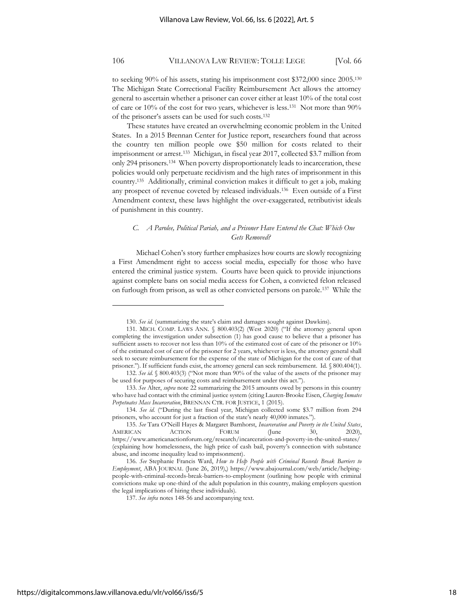to seeking 90% of his assets, stating his imprisonment cost \$372,000 since 2005.<sup>130</sup> The Michigan State Correctional Facility Reimbursement Act allows the attorney general to ascertain whether a prisoner can cover either at least 10% of the total cost of care or 10% of the cost for two years, whichever is less.<sup>131</sup> Not more than 90% of the prisoner's assets can be used for such costs.<sup>132</sup>

These statutes have created an overwhelming economic problem in the United States. In a 2015 Brennan Center for Justice report, researchers found that across the country ten million people owe \$50 million for costs related to their imprisonment or arrest.<sup>133</sup> Michigan, in fiscal year 2017, collected \$3.7 million from only 294 prisoners.<sup>134</sup> When poverty disproportionately leads to incarceration, these policies would only perpetuate recidivism and the high rates of imprisonment in this country.<sup>135</sup> Additionally, criminal conviction makes it difficult to get a job, making any prospect of revenue coveted by released individuals.<sup>136</sup> Even outside of a First Amendment context, these laws highlight the over-exaggerated, retributivist ideals of punishment in this country.

## *C. A Parolee, Political Pariah, and a Prisoner Have Entered the Chat: Which One Gets Removed?*

Michael Cohen's story further emphasizes how courts are slowly recognizing a First Amendment right to access social media, especially for those who have entered the criminal justice system. Courts have been quick to provide injunctions against complete bans on social media access for Cohen, a convicted felon released on furlough from prison, as well as other convicted persons on parole.<sup>137</sup> While the

<sup>130.</sup> *See id.* (summarizing the state's claim and damages sought against Dawkins).

<sup>131.</sup> MICH. COMP. LAWS ANN. § 800.403(2) (West 2020) ("If the attorney general upon completing the investigation under subsection (1) has good cause to believe that a prisoner has sufficient assets to recover not less than 10% of the estimated cost of care of the prisoner or 10% of the estimated cost of care of the prisoner for 2 years, whichever is less, the attorney general shall seek to secure reimbursement for the expense of the state of Michigan for the cost of care of that prisoner."). If sufficient funds exist, the attorney general can seek reimbursement. Id. § 800.404(1).

<sup>132.</sup> *See id.* § 800.403(3) ("Not more than 90% of the value of the assets of the prisoner may be used for purposes of securing costs and reimbursement under this act.").

<sup>133.</sup> *See* Alter, *supra* note 22 summarizing the 2015 amounts owed by persons in this country who have had contact with the criminal justice system (citing Lauren-Brooke Eisen, *Charging Inmates Perpetuates Mass Incarceration*, BRENNAN CTR. FOR JUSTICE, 1 (2015).

<sup>134.</sup> *See id.* ("During the last fiscal year, Michigan collected some \$3.7 million from 294 prisoners, who account for just a fraction of the state's nearly 40,000 inmates.").

<sup>135.</sup> *See* Tara O'Neill Hayes & Margaret Barnhorst, *Incarceration and Poverty in the United States*, AMERICAN ACTION FORUM (June 30, 2020), https://www.americanactionforum.org/research/incarceration-and-poverty-in-the-united-states/ (explaining how homelessness, the high price of cash bail, poverty's connection with substance abuse, and income inequality lead to imprisonment).

<sup>136.</sup> *See* Stephanie Francis Ward, *How to Help People with Criminal Records Break Barriers to Employment*, ABA JOURNAL (June 26, 2019),) https://www.abajournal.com/web/article/helpingpeople-with-criminal-records-break-barriers-to-employment (outlining how people with criminal convictions make up one-third of the adult population in this country, making employers question the legal implications of hiring these individuals).

<sup>137.</sup> *See infra* notes 148-56 and accompanying text.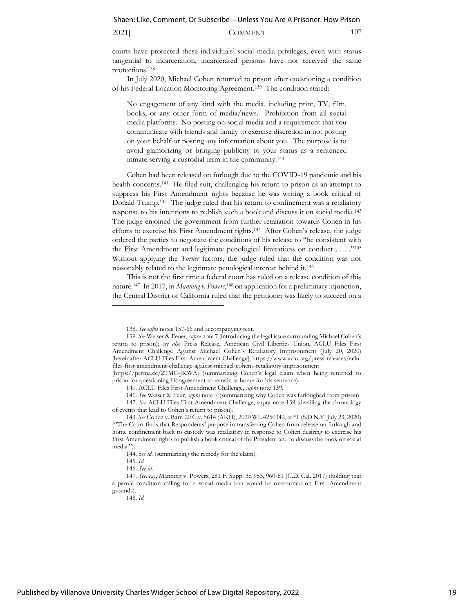#### 2021] **COMMENT** 107

courts have protected these individuals' social media privileges, even with status tangential to incarceration, incarcerated persons have not received the same protections.<sup>138</sup>

In July 2020, Michael Cohen returned to prison after questioning a condition of his Federal Location Monitoring Agreement.<sup>139</sup> The condition stated:

No engagement of any kind with the media, including print, TV, film, books, or any other form of media/news. Prohibition from all social media platforms. No posting on social media and a requirement that you communicate with friends and family to exercise discretion in not posting on your behalf or posting any information about you. The purpose is to avoid glamorizing or bringing publicity to your status as a sentenced inmate serving a custodial term in the community.<sup>140</sup>

Cohen had been released on furlough due to the COVID-19 pandemic and his health concerns.<sup>141</sup> He filed suit, challenging his return to prison as an attempt to suppress his First Amendment rights because he was writing a book critical of Donald Trump.<sup>142</sup> The judge ruled that his return to confinement was a retaliatory response to his intentions to publish such a book and discuss it on social media. <sup>143</sup> The judge enjoined the government from further retaliation towards Cohen in his efforts to exercise his First Amendment rights.<sup>144</sup> After Cohen's release, the judge ordered the parties to negotiate the conditions of his release to "be consistent with the First Amendment and legitimate penological limitations on conduct . . . ."<sup>145</sup> Without applying the *Turner* factors, the judge ruled that the condition was not reasonably related to the legitimate penological interest behind it.<sup>146</sup>

This is not the first time a federal court has ruled on a release condition of this nature.<sup>147</sup> In 2017, in *Manning v. Powers*, <sup>148</sup> on application for a preliminary injunction, the Central District of California ruled that the petitioner was likely to succeed on a

141. *See* Weiser & Feur, *supra* note 7 (summarizing why Cohen was furloughed from prison). 142. *See* ACLU Files First Amendment Challenge, supra note 139 (detailing the chronology of events that lead to Cohen's return to prison).

148. *Id.* 

<sup>138.</sup> *See infra* notes 157-66 and accompanying text.

<sup>139.</sup> *See* Weiser & Feuer, *supra* note 7 (introducing the legal issue surrounding Michael Cohen's return to prison); *see also* Press Release, American Civil Liberties Union, ACLU Files First Amendment Challenge Against Michael Cohen's Retaliatory Imprisonment (July 20, 2020) [hereinafter ACLU Files First Amendment Challenge], [https://www.aclu.org/press-releases/aclu](https://www.aclu.org/press-releases/aclu-files-first-amendment-challenge-against-michael-cohens-retaliatory-imprisonment)[files-first-amendment-challenge-against-michael-cohens-retaliatory-imprisonment](https://www.aclu.org/press-releases/aclu-files-first-amendment-challenge-against-michael-cohens-retaliatory-imprisonment)

<sup>[</sup>https://perma.cc/2TMC-JKWA] (summarizing Cohen's legal claim when being returned to prison for questioning his agreement to remain at home for his sentence).

<sup>140.</sup> ACLU Files First Amendment Challenge, *supra* note 139.

<sup>143.</sup> *See* Cohen v. Barr, 20 Civ. 5614 (AKH), 2020 WL 4250342, at \*1 (S.D.N.Y. July 23, 2020) ("The Court finds that Respondents' purpose in transferring Cohen from release on furlough and home confinement back to custody was retaliatory in response to Cohen desiring to exercise his First Amendment rights to publish a book critical of the President and to discuss the book on social media.").

<sup>144.</sup> S*ee id.* (summarizing the remedy for the claim).

<sup>145.</sup> *Id.*

<sup>146.</sup> *See id.*

<sup>147.</sup> *See, e.g.*, Manning v. Powers, 281 F. Supp. 3d 953, 960-61 (C.D. Cal. 2017) (holding that a parole condition calling for a social media ban would be overturned on First Amendment grounds).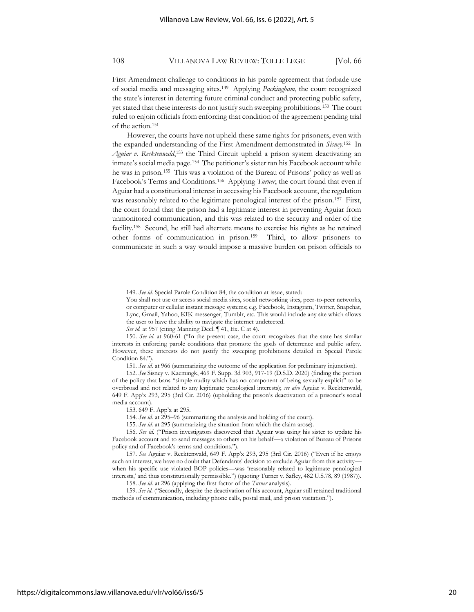First Amendment challenge to conditions in his parole agreement that forbade use of social media and messaging sites.<sup>149</sup> Applying *Packingham*, the court recognized the state's interest in deterring future criminal conduct and protecting public safety, yet stated that these interests do not justify such sweeping prohibitions.<sup>150</sup> The court ruled to enjoin officials from enforcing that condition of the agreement pending trial of the action.<sup>151</sup>

However, the courts have not upheld these same rights for prisoners, even with the expanded understanding of the First Amendment demonstrated in *Sisney*. 152 In Aguiar v. Recktenwald,<sup>153</sup> the Third Circuit upheld a prison system deactivating an inmate's social media page.<sup>154</sup> The petitioner's sister ran his Facebook account while he was in prison.<sup>155</sup> This was a violation of the Bureau of Prisons' policy as well as Facebook's Terms and Conditions.<sup>156</sup> Applying *Turner*, the court found that even if Aguiar had a constitutional interest in accessing his Facebook account, the regulation was reasonably related to the legitimate penological interest of the prison.<sup>157</sup> First, the court found that the prison had a legitimate interest in preventing Aguiar from unmonitored communication, and this was related to the security and order of the facility.<sup>158</sup> Second, he still had alternate means to exercise his rights as he retained other forms of communication in prison.<sup>159</sup> Third, to allow prisoners to communicate in such a way would impose a massive burden on prison officials to

<sup>149.</sup> *See id.* Special Parole Condition 84, the condition at issue, stated:

You shall not use or access social media sites, social networking sites, peer-to-peer networks, or computer or cellular instant message systems; e.g. Facebook, Instagram, Twitter, Snapchat, Lync, Gmail, Yahoo, KIK messenger, Tumblr, etc. This would include any site which allows the user to have the ability to navigate the internet undetected.

*See id.* at 957 (citing Manning Decl. ¶ 41, Ex. C at 4).

<sup>150.</sup> *See id*. at 960-61 ("In the present case, the court recognizes that the state has similar interests in enforcing parole conditions that promote the goals of deterrence and public safety. However, these interests do not justify the sweeping prohibitions detailed in Special Parole Condition 84.")

<sup>151.</sup> *See id*. at 966 (summarizing the outcome of the application for preliminary injunction).

<sup>152.</sup> *See* Sisney v. Kaemingk, 469 F. Supp. 3d 903, 917-19 (D.S.D. 2020) (finding the portion of the policy that bans "simple nudity which has no component of being sexually explicit" to be overbroad and not related to any legitimate penological interests); *see also* Aguiar v. Recktenwald, 649 F. App'x 293, 295 (3rd Cir. 2016) (upholding the prison's deactivation of a prisoner's social media account).

<sup>153.</sup> 649 F. App'x at 295.

<sup>154.</sup> *See id.* at 295–96 (summarizing the analysis and holding of the court).

<sup>155.</sup> *See id.* at 295 (summarizing the situation from which the claim arose).

<sup>156.</sup> *See id.* ("Prison investigators discovered that Aguiar was using his sister to update his Facebook account and to send messages to others on his behalf—a violation of Bureau of Prisons policy and of Facebook's terms and conditions.").

<sup>157.</sup> *See* Aguiar v. Recktenwald, 649 F. App'x 293, 295 (3rd Cir. 2016) ("Even if he enjoys such an interest, we have no doubt that Defendants' decision to exclude Aguiar from this activity when his specific use violated BOP policies—was 'reasonably related to legitimate penological interests,' and thus constitutionally permissible.") (quoting Turner v. Safley, 482 U.S.78, 89 (1987)).

<sup>158.</sup> *See id.* at 296 (applying the first factor of the *Turner* analysis).

<sup>159.</sup> *See id.* ("Secondly, despite the deactivation of his account, Aguiar still retained traditional methods of communication, including phone calls, postal mail, and prison visitation.").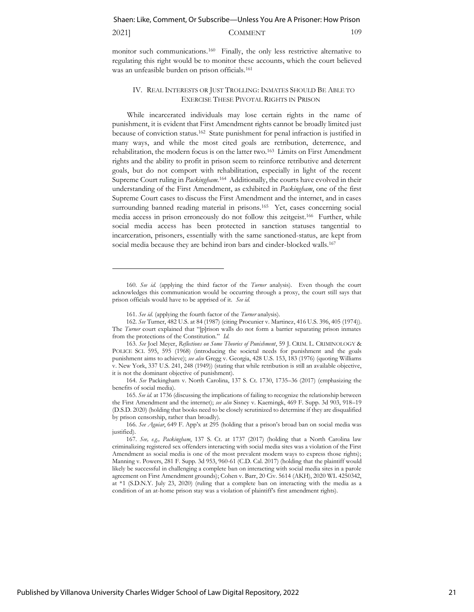## 2021] **COMMENT** 109

monitor such communications.<sup>160</sup> Finally, the only less restrictive alternative to regulating this right would be to monitor these accounts, which the court believed was an unfeasible burden on prison officials.<sup>161</sup>

## IV. REAL INTERESTS OR JUST TROLLING: INMATES SHOULD BE ABLE TO EXERCISE THESE PIVOTAL RIGHTS IN PRISON

While incarcerated individuals may lose certain rights in the name of punishment, it is evident that First Amendment rights cannot be broadly limited just because of conviction status.<sup>162</sup> State punishment for penal infraction is justified in many ways, and while the most cited goals are retribution, deterrence, and rehabilitation, the modern focus is on the latter two.<sup>163</sup> Limits on First Amendment rights and the ability to profit in prison seem to reinforce retributive and deterrent goals, but do not comport with rehabilitation, especially in light of the recent Supreme Court ruling in *Packingham*.<sup>164</sup> Additionally, the courts have evolved in their understanding of the First Amendment, as exhibited in *Packingham*, one of the first Supreme Court cases to discuss the First Amendment and the internet, and in cases surrounding banned reading material in prisons.<sup>165</sup> Yet, cases concerning social media access in prison erroneously do not follow this zeitgeist.<sup>166</sup> Further, while social media access has been protected in sanction statuses tangential to incarceration, prisoners, essentially with the same sanctioned-status, are kept from social media because they are behind iron bars and cinder-blocked walls.<sup>167</sup>

<sup>160.</sup> *See id.* (applying the third factor of the *Turner* analysis). Even though the court acknowledges this communication would be occurring through a proxy, the court still says that prison officials would have to be apprised of it. *See id.*

<sup>161.</sup> *See id.* (applying the fourth factor of the *Turner* analysis).

<sup>162.</sup> *See* Turner, 482 U.S. at 84 (1987) (citing Procunier v. Martinez, 416 U.S. 396, 405 (1974)). The *Turner* court explained that "[p]rison walls do not form a barrier separating prison inmates from the protections of the Constitution." *Id.*

<sup>163.</sup> *See* Joel Meyer, *Reflections on Some Theories of Punishment*, 59 J. CRIM. L. CRIMINOLOGY & POLICE SCI. 595, 595 (1968) (introducing the societal needs for punishment and the goals punishment aims to achieve); *see also* Gregg v. Georgia, 428 U.S. 153, 183 (1976) (quoting Williams v. New York, 337 U.S. 241, 248 (1949)) (stating that while retribution is still an available objective, it is not the dominant objective of punishment).

<sup>164.</sup> *See* Packingham v. North Carolina, 137 S. Ct. 1730, 1735–36 (2017) (emphasizing the benefits of social media).

<sup>165.</sup> *See id.* at 1736 (discussing the implications of failing to recognize the relationship between the First Amendment and the internet); *see also* Sisney v. Kaemingk, 469 F. Supp. 3d 903, 918–19 (D.S.D. 2020) (holding that books need to be closely scrutinized to determine if they are disqualified by prison censorship, rather than broadly).

<sup>166.</sup> *See Aguiar*, 649 F. App'x at 295 (holding that a prison's broad ban on social media was justified)

<sup>167.</sup> *See, e.g., Packingham*, 137 S. Ct. at 1737 (2017) (holding that a North Carolina law criminalizing registered sex offenders interacting with social media sites was a violation of the First Amendment as social media is one of the most prevalent modern ways to express those rights); Manning v. Powers, 281 F. Supp. 3d 953, 960-61 (C.D. Cal. 2017) (holding that the plaintiff would likely be successful in challenging a complete ban on interacting with social media sites in a parole agreement on First Amendment grounds); Cohen v. Barr, 20 Civ. 5614 (AKH), 2020 WL 4250342, at \*1 (S.D.N.Y. July 23, 2020) (ruling that a complete ban on interacting with the media as a condition of an at-home prison stay was a violation of plaintiff's first amendment rights).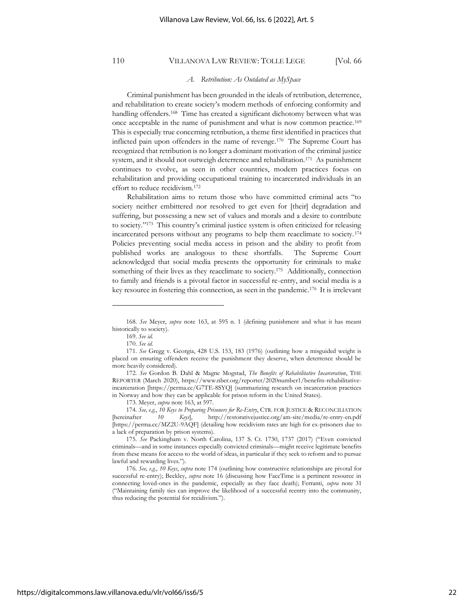#### *A. Retribution: As Outdated as MySpace*

Criminal punishment has been grounded in the ideals of retribution, deterrence, and rehabilitation to create society's modern methods of enforcing conformity and handling offenders.<sup>168</sup> Time has created a significant dichotomy between what was once acceptable in the name of punishment and what is now common practice.<sup>169</sup> This is especially true concerning retribution, a theme first identified in practices that inflicted pain upon offenders in the name of revenge.<sup>170</sup> The Supreme Court has recognized that retribution is no longer a dominant motivation of the criminal justice system, and it should not outweigh deterrence and rehabilitation.<sup>171</sup> As punishment continues to evolve, as seen in other countries, modern practices focus on rehabilitation and providing occupational training to incarcerated individuals in an effort to reduce recidivism.<sup>172</sup>

Rehabilitation aims to return those who have committed criminal acts "to society neither embittered nor resolved to get even for [their] degradation and suffering, but possessing a new set of values and morals and a desire to contribute to society."<sup>173</sup> This country's criminal justice system is often criticized for releasing incarcerated persons without any programs to help them reacclimate to society.<sup>174</sup> Policies preventing social media access in prison and the ability to profit from published works are analogous to these shortfalls. The Supreme Court acknowledged that social media presents the opportunity for criminals to make something of their lives as they reacclimate to society.<sup>175</sup> Additionally, connection to family and friends is a pivotal factor in successful re-entry, and social media is a key resource in fostering this connection, as seen in the pandemic.<sup>176</sup> It is irrelevant

174. *See, e.g.*, *10 Keys to Preparing Prisoners for Re-Entry*, CTR. FOR JUSTICE & RECONCILIATION [hereinafter *10 Keys*], http://restorativejustice.org/am-site/media/re-entry-en.pdf [https://perma.cc/MZ2U-9AQF] (detailing how recidivism rates are high for ex-prisoners due to a lack of preparation by prison systems).

<sup>168.</sup> *See* Meyer, *supra* note 163, at 595 n. 1 (defining punishment and what it has meant historically to society).

<sup>169.</sup> *See id.*

<sup>170.</sup> *See id.*

<sup>171.</sup> *See* Gregg v. Georgia, 428 U.S. 153, 183 (1976) (outlining how a misguided weight is placed on ensuring offenders receive the punishment they deserve, when deterrence should be more heavily considered).

<sup>172.</sup> *See* Gordon B. Dahl & Magne Mogstad, *The Benefits of Rehabilitative Incarceration*, THE REPORTER (March 2020), https://www.nber.org/reporter/2020number1/benefits-rehabilitativeincarceration [https://perma.cc/G7TE-8SYQ] (summarizing research on incarceration practices in Norway and how they can be applicable for prison reform in the United States).

<sup>173.</sup> Meyer, *supra* note 163, at 597.

<sup>175.</sup> *See* Packingham v. North Carolina, 137 S. Ct. 1730, 1737 (2017) ("Even convicted criminals—and in some instances especially convicted criminals—might receive legitimate benefits from these means for access to the world of ideas, in particular if they seek to reform and to pursue lawful and rewarding lives.").

<sup>176.</sup> *See, e.g.*, *10 Keys*, *supra* note 174 (outlining how constructive relationships are pivotal for successful re-entry); Beckley, *supra* note 16 (discussing how FaceTime is a pertinent resource in connecting loved-ones in the pandemic, especially as they face death); Ferranti, *supra* note 31 ("Maintaining family ties can improve the likelihood of a successful reentry into the community, thus reducing the potential for recidivism.").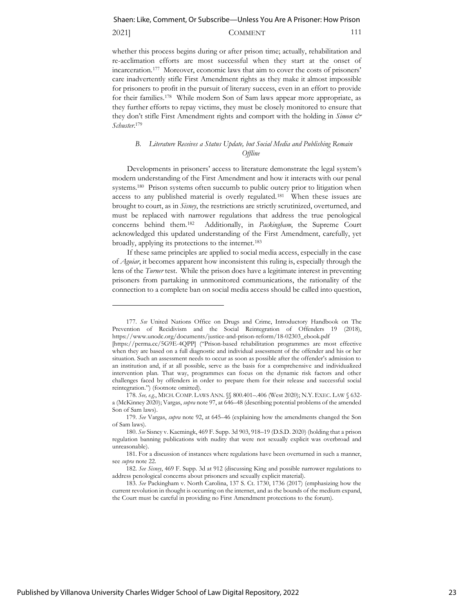## 2021] COMMENT 111

whether this process begins during or after prison time; actually, rehabilitation and re-acclimation efforts are most successful when they start at the onset of incarceration.<sup>177</sup> Moreover, economic laws that aim to cover the costs of prisoners' care inadvertently stifle First Amendment rights as they make it almost impossible for prisoners to profit in the pursuit of literary success, even in an effort to provide for their families.<sup>178</sup> While modern Son of Sam laws appear more appropriate, as they further efforts to repay victims, they must be closely monitored to ensure that they don't stifle First Amendment rights and comport with the holding in *Simon & Schuster*. 179

## *B. Literature Receives a Status Update, but Social Media and Publishing Remain Offline*

Developments in prisoners' access to literature demonstrate the legal system's modern understanding of the First Amendment and how it interacts with our penal systems.<sup>180</sup> Prison systems often succumb to public outcry prior to litigation when access to any published material is overly regulated.<sup>181</sup> When these issues are brought to court, as in *Sisney*, the restrictions are strictly scrutinized, overturned, and must be replaced with narrower regulations that address the true penological concerns behind them.<sup>182</sup> Additionally, in *Packingham*, the Supreme Court acknowledged this updated understanding of the First Amendment, carefully, yet broadly, applying its protections to the internet.<sup>183</sup>

If these same principles are applied to social media access, especially in the case of *Aguiar*, it becomes apparent how inconsistent this ruling is, especially through the lens of the *Turner* test. While the prison does have a legitimate interest in preventing prisoners from partaking in unmonitored communications, the rationality of the connection to a complete ban on social media access should be called into question,

<sup>177.</sup> *See* United Nations Office on Drugs and Crime, Introductory Handbook on The Prevention of Recidivism and the Social Reintegration of Offenders 19 (2018), https://www.unodc.org/documents/justice-and-prison-reform/18-02303\_ebook.pdf

<sup>[</sup>https://perma.cc/5G9E-4QPP] ("Prison-based rehabilitation programmes are most effective when they are based on a full diagnostic and individual assessment of the offender and his or her situation. Such an assessment needs to occur as soon as possible after the offender's admission to an institution and, if at all possible, serve as the basis for a comprehensive and individualized intervention plan. That way, programmes can focus on the dynamic risk factors and other challenges faced by offenders in order to prepare them for their release and successful social reintegration.") (footnote omitted).

<sup>178.</sup> *See, e.g.*, MICH. COMP. LAWS ANN. §§ 800.401–.406 (West 2020); N.Y.EXEC. LAW § 632 a (McKinney 2020); Vargas, *supra* note 97, at 646–48 (describing potential problems of the amended Son of Sam laws).

<sup>179.</sup> *See* Vargas, *supra* note 92, at 645–46 (explaining how the amendments changed the Son of Sam laws).

<sup>180.</sup> *See* Sisney v. Kaemingk, 469 F. Supp. 3d 903, 918–19 (D.S.D. 2020) (holding that a prison regulation banning publications with nudity that were not sexually explicit was overbroad and unreasonable).

<sup>181.</sup> For a discussion of instances where regulations have been overturned in such a manner, see *supra* note 22.

<sup>182.</sup> *See Sisney*, 469 F. Supp. 3d at 912 (discussing King and possible narrower regulations to address penological concerns about prisoners and sexually explicit material).

<sup>183.</sup> *See* Packingham v. North Carolina, 137 S. Ct. 1730, 1736 (2017) (emphasizing how the current revolution in thought is occurring on the internet, and as the bounds of the medium expand, the Court must be careful in providing no First Amendment protections to the forum).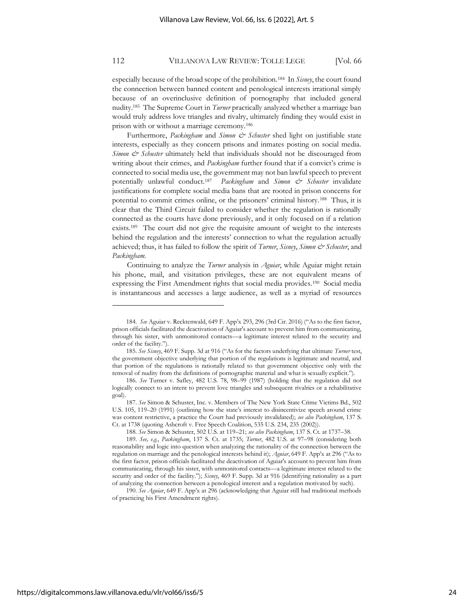especially because of the broad scope of the prohibition.<sup>184</sup> In *Sisney*, the court found the connection between banned content and penological interests irrational simply because of an overinclusive definition of pornography that included general nudity.<sup>185</sup> The Supreme Court in *Turner* practically analyzed whether a marriage ban would truly address love triangles and rivalry, ultimately finding they would exist in prison with or without a marriage ceremony.<sup>186</sup>

Furthermore, *Packingham* and *Simon & Schuster* shed light on justifiable state interests, especially as they concern prisons and inmates posting on social media. *Simon & Schuster* ultimately held that individuals should not be discouraged from writing about their crimes, and *Packingham* further found that if a convict's crime is connected to social media use, the government may not ban lawful speech to prevent potentially unlawful conduct.<sup>187</sup> *Packingham* and *Simon & Schuster* invalidate justifications for complete social media bans that are rooted in prison concerns for potential to commit crimes online, or the prisoners' criminal history.<sup>188</sup> Thus, it is clear that the Third Circuit failed to consider whether the regulation is rationally connected as the courts have done previously, and it only focused on if a relation exists.<sup>189</sup> The court did not give the requisite amount of weight to the interests behind the regulation and the interests' connection to what the regulation actually achieved; thus, it has failed to follow the spirit of *Turner*, *Sisney*, *Simon & Schuster*, and *Packingham*.

Continuing to analyze the *Turner* analysis in *Aguiar*, while Aguiar might retain his phone, mail, and visitation privileges, these are not equivalent means of expressing the First Amendment rights that social media provides.<sup>190</sup> Social media is instantaneous and accesses a large audience, as well as a myriad of resources

<sup>184.</sup> *See* Aguiar v. Recktenwald, 649 F. App'x 293, 296 (3rd Cir. 2016) ("As to the first factor, prison officials facilitated the deactivation of Aguiar's account to prevent him from communicating, through his sister, with unmonitored contacts—a legitimate interest related to the security and order of the facility.").

<sup>185.</sup> *See Sisney*, 469 F. Supp. 3d at 916 ("As for the factors underlying that ultimate *Turner* test, the government objective underlying that portion of the regulations is legitimate and neutral, and that portion of the regulations is rationally related to that government objective only with the removal of nudity from the definitions of pornographic material and what is sexually explicit.").

<sup>186.</sup> *See* Turner v. Safley, 482 U.S. 78, 98–99 (1987) (holding that the regulation did not logically connect to an intent to prevent love triangles and subsequent rivalries or a rehabilitative goal).

<sup>187.</sup> *See* Simon & Schuster, Inc. v. Members of The New York State Crime Victims Bd., 502 U.S. 105, 119–20 (1991) (outlining how the state's interest to disincentivize speech around crime was content restrictive, a practice the Court had previously invalidated); *see also Packingham*, 137 S. Ct. at 1738 (quoting Ashcroft v. Free Speech Coalition, 535 U.S. 234, 235 (2002)).

<sup>188.</sup> *See* Simon & Schuster, 502 U.S. at 119–21; *see also Packingham*, 137 S. Ct. at 1737–38.

<sup>189.</sup> *See, e.g.*, *Packingham*, 137 S. Ct. at 1735; *Turner*, 482 U.S. at 97–98 (considering both reasonability and logic into question when analyzing the rationality of the connection between the regulation on marriage and the penological interests behind it); *Aguiar*, 649 F. App'x at 296 ("As to the first factor, prison officials facilitated the deactivation of Aguiar's account to prevent him from communicating, through his sister, with unmonitored contacts—a legitimate interest related to the security and order of the facility."); *Sisney*, 469 F. Supp. 3d at 916 (identifying rationality as a part of analyzing the connection between a penological interest and a regulation motivated by such).

<sup>190.</sup> *See Aguiar*, 649 F. App'x at 296 (acknowledging that Aguiar still had traditional methods of practicing his First Amendment rights).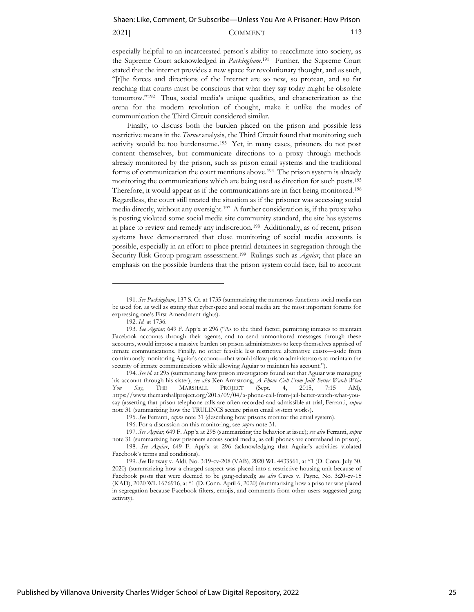#### 2021] COMMENT 113

especially helpful to an incarcerated person's ability to reacclimate into society, as the Supreme Court acknowledged in *Packingham*. 191 Further, the Supreme Court stated that the internet provides a new space for revolutionary thought, and as such, "[t]he forces and directions of the Internet are so new, so protean, and so far reaching that courts must be conscious that what they say today might be obsolete tomorrow."<sup>192</sup> Thus, social media's unique qualities, and characterization as the arena for the modern revolution of thought, make it unlike the modes of communication the Third Circuit considered similar.

Finally, to discuss both the burden placed on the prison and possible less restrictive means in the *Turner* analysis, the Third Circuit found that monitoring such activity would be too burdensome.<sup>193</sup> Yet, in many cases, prisoners do not post content themselves, but communicate directions to a proxy through methods already monitored by the prison, such as prison email systems and the traditional forms of communication the court mentions above.<sup>194</sup> The prison system is already monitoring the communications which are being used as direction for such posts.<sup>195</sup> Therefore, it would appear as if the communications are in fact being monitored.<sup>196</sup> Regardless, the court still treated the situation as if the prisoner was accessing social media directly, without any oversight.<sup>197</sup> A further consideration is, if the proxy who is posting violated some social media site community standard, the site has systems in place to review and remedy any indiscretion.<sup>198</sup> Additionally, as of recent, prison systems have demonstrated that close monitoring of social media accounts is possible, especially in an effort to place pretrial detainees in segregation through the Security Risk Group program assessment.<sup>199</sup> Rulings such as *Aguiar*, that place an emphasis on the possible burdens that the prison system could face, fail to account

<sup>191.</sup> *See Packingham*, 137 S. Ct. at 1735 (summarizing the numerous functions social media can be used for, as well as stating that cyberspace and social media are the most important forums for expressing one's First Amendment rights).

<sup>192.</sup> *Id.* at 1736.

<sup>193.</sup> *See Aguiar*, 649 F. App'x at 296 ("As to the third factor, permitting inmates to maintain Facebook accounts through their agents, and to send unmonitored messages through these accounts, would impose a massive burden on prison administrators to keep themselves apprised of inmate communications. Finally, no other feasible less restrictive alternative exists—aside from continuously monitoring Aguiar's account—that would allow prison administrators to maintain the security of inmate communications while allowing Aguiar to maintain his account.").

<sup>194.</sup> *See id.* at 295 (summarizing how prison investigators found out that Aguiar was managing his account through his sister); *see also* Ken Armstrong, *A Phone Call From Jail? Better Watch What You Say*, THE MARSHALL PROJECT (Sept. 4, 2015, 7:15 AM), https://www.themarshallproject.org/2015/09/04/a-phone-call-from-jail-better-watch-what-yousay (asserting that prison telephone calls are often recorded and admissible at trial; Ferranti, *supra* note 31 (summarizing how the TRULINCS secure prison email system works).

<sup>195.</sup> *See* Ferranti, *supra* note 31 (describing how prisons monitor the email system).

<sup>196.</sup> For a discussion on this monitoring, see *supra* note 31.

<sup>197.</sup> *See Aguiar*, 649 F. App'x at 295 (summarizing the behavior at issue); *see also* Ferranti, *supra* note 31 (summarizing how prisoners access social media, as cell phones are contraband in prison).

<sup>198.</sup> *See Aguiar*, 649 F. App'x at 296 (acknowledging that Aguiar's activities violated Facebook's terms and conditions).

<sup>199.</sup> *See* Benway v. Aldi, No. 3:19-cv-208 (VAB), 2020 WL 4433561, at \*1 (D. Conn. July 30, 2020) (summarizing how a charged suspect was placed into a restrictive housing unit because of Facebook posts that were deemed to be gang-related); *see also* Caves v. Payne, No. 3:20-cv-15 (KAD), 2020 WL 1676916, at \*1 (D. Conn. April 6, 2020) (summarizing how a prisoner was placed in segregation because Facebook filters, emojis, and comments from other users suggested gang activity).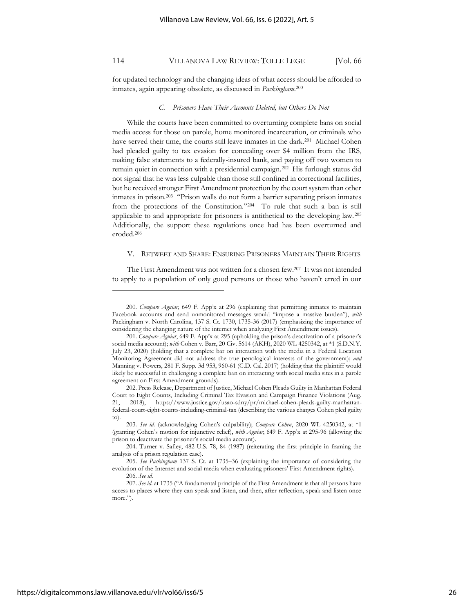for updated technology and the changing ideas of what access should be afforded to inmates, again appearing obsolete, as discussed in *Packingham*. 200

#### *C. Prisoners Have Their Accounts Deleted, but Others Do Not*

While the courts have been committed to overturning complete bans on social media access for those on parole, home monitored incarceration, or criminals who have served their time, the courts still leave inmates in the dark.<sup>201</sup> Michael Cohen had pleaded guilty to tax evasion for concealing over \$4 million from the IRS, making false statements to a federally-insured bank, and paying off two women to remain quiet in connection with a presidential campaign.<sup>202</sup> His furlough status did not signal that he was less culpable than those still confined in correctional facilities, but he received stronger First Amendment protection by the court system than other inmates in prison.<sup>203</sup> "Prison walls do not form a barrier separating prison inmates from the protections of the Constitution."<sup>204</sup> To rule that such a ban is still applicable to and appropriate for prisoners is antithetical to the developing law. <sup>205</sup> Additionally, the support these regulations once had has been overturned and eroded.<sup>206</sup>

#### V. RETWEET AND SHARE: ENSURING PRISONERS MAINTAIN THEIR RIGHTS

The First Amendment was not written for a chosen few.<sup>207</sup> It was not intended to apply to a population of only good persons or those who haven't erred in our

<sup>200.</sup> *Compare Aguiar*, 649 F. App'x at 296 (explaining that permitting inmates to maintain Facebook accounts and send unmonitored messages would "impose a massive burden"), *with* Packingham v. North Carolina, 137 S. Ct. 1730, 1735-36 (2017) (emphasizing the importance of considering the changing nature of the internet when analyzing First Amendment issues).

<sup>201.</sup> *Compare Aguiar*, 649 F. App'x at 295 (upholding the prison's deactivation of a prisoner's social media account); *with* Cohen v. Barr, 20 Civ. 5614 (AKH), 2020 WL 4250342, at \*1 (S.D.N.Y. July 23, 2020) (holding that a complete bar on interaction with the media in a Federal Location Monitoring Agreement did not address the true penological interests of the government); *and* Manning v. Powers, 281 F. Supp. 3d 953, 960-61 (C.D. Cal. 2017) (holding that the plaintiff would likely be successful in challenging a complete ban on interacting with social media sites in a parole agreement on First Amendment grounds).

<sup>202.</sup> Press Release, Department of Justice, Michael Cohen Pleads Guilty in Manhattan Federal Court to Eight Counts, Including Criminal Tax Evasion and Campaign Finance Violations (Aug. 21, 2018), https://www.justice.gov/usao-sdny/pr/michael-cohen-pleads-guilty-manhattanfederal-court-eight-counts-including-criminal-tax (describing the various charges Cohen pled guilty to).

<sup>203.</sup> *See id.* (acknowledging Cohen's culpability); *Compare Cohen*, 2020 WL 4250342, at \*1 (granting Cohen's motion for injunctive relief), *with Aguiar*, 649 F. App'x at 295-96 (allowing the prison to deactivate the prisoner's social media account).

<sup>204.</sup> Turner v. Safley, 482 U.S. 78, 84 (1987) (reiterating the first principle in framing the analysis of a prison regulation case).

<sup>205.</sup> *See Packingham* 137 S. Ct. at 1735–36 (explaining the importance of considering the evolution of the Internet and social media when evaluating prisoners' First Amendment rights).

<sup>206.</sup> *See id.*

<sup>207.</sup> *See id.* at 1735 ("A fundamental principle of the First Amendment is that all persons have access to places where they can speak and listen, and then, after reflection, speak and listen once more.").